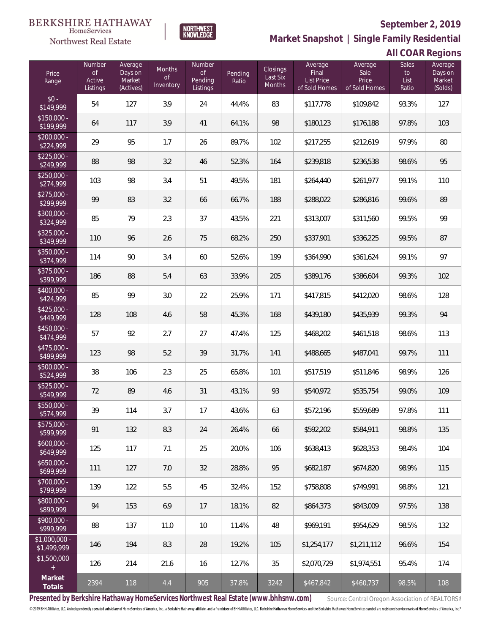

HomeServices Northwest Real Estate

**Market Snapshot | Single Family Residential**

### **All COAR Regions**

| Price<br>Range                | <b>Number</b><br><b>of</b><br>Active<br>Listings | Average<br>Days on<br>Market<br>(Actives) | Months<br><b>of</b><br>Inventory | Number<br>of<br>Pending<br>Listings | Pending<br>Ratio | Closings<br>Last Six<br><b>Months</b> | Average<br>Final<br><b>List Price</b><br>of Sold Homes | Average<br>Sale<br>Price<br>of Sold Homes | <b>Sales</b><br>to<br>List<br>Ratio | Average<br>Days on<br>Market<br>(Solds) |
|-------------------------------|--------------------------------------------------|-------------------------------------------|----------------------------------|-------------------------------------|------------------|---------------------------------------|--------------------------------------------------------|-------------------------------------------|-------------------------------------|-----------------------------------------|
| $$0 -$<br>\$149,999           | 54                                               | 127                                       | 3.9                              | 24                                  | 44.4%            | 83                                    | \$117,778                                              | \$109,842                                 | 93.3%                               | 127                                     |
| $$150,000 -$<br>\$199,999     | 64                                               | 117                                       | 3.9                              | 41                                  | 64.1%            | 98                                    | \$180,123                                              | \$176,188                                 | 97.8%                               | 103                                     |
| $$200,000 -$<br>\$224,999     | 29                                               | 95                                        | 1.7                              | 26                                  | 89.7%            | 102                                   | \$217,255                                              | \$212,619                                 | 97.9%                               | 80                                      |
| $$225,000 -$<br>\$249,999     | 88                                               | 98                                        | 3.2                              | 46                                  | 52.3%            | 164                                   | \$239,818                                              | \$236,538                                 | 98.6%                               | 95                                      |
| $$250,000 -$<br>\$274,999     | 103                                              | 98                                        | 3.4                              | 51                                  | 49.5%            | 181                                   | \$264,440                                              | \$261,977                                 | 99.1%                               | 110                                     |
| $$275,000 -$<br>\$299,999     | 99                                               | 83                                        | 3.2                              | 66                                  | 66.7%            | 188                                   | \$288,022                                              | \$286,816                                 | 99.6%                               | 89                                      |
| $$300,000 -$<br>\$324,999     | 85                                               | 79                                        | 2.3                              | 37                                  | 43.5%            | 221                                   | \$313,007                                              | \$311,560                                 | 99.5%                               | 99                                      |
| $$325,000 -$<br>\$349,999     | 110                                              | 96                                        | 2.6                              | 75                                  | 68.2%            | 250                                   | \$337,901                                              | \$336,225                                 | 99.5%                               | 87                                      |
| $$350,000 -$<br>\$374,999     | 114                                              | 90                                        | 3.4                              | 60                                  | 52.6%            | 199                                   | \$364,990                                              | \$361,624                                 | 99.1%                               | 97                                      |
| $$375,000 -$<br>\$399,999     | 186                                              | 88                                        | 5.4                              | 63                                  | 33.9%            | 205                                   | \$389,176                                              | \$386,604                                 | 99.3%                               | 102                                     |
| $$400,000 -$<br>\$424,999     | 85                                               | 99                                        | 3.0                              | 22                                  | 25.9%            | 171                                   | \$417,815                                              | \$412,020                                 | 98.6%                               | 128                                     |
| $$425,000 -$<br>\$449,999     | 128                                              | 108                                       | 4.6                              | 58                                  | 45.3%            | 168                                   | \$439,180                                              | \$435,939                                 | 99.3%                               | 94                                      |
| \$450,000 -<br>\$474,999      | 57                                               | 92                                        | 2.7                              | 27                                  | 47.4%            | 125                                   | \$468,202                                              | \$461,518                                 | 98.6%                               | 113                                     |
| $$475,000 -$<br>\$499,999     | 123                                              | 98                                        | 5.2                              | 39                                  | 31.7%            | 141                                   | \$488,665                                              | \$487,041                                 | 99.7%                               | 111                                     |
| $$500,000 -$<br>\$524,999     | 38                                               | 106                                       | 2.3                              | 25                                  | 65.8%            | 101                                   | \$517,519                                              | \$511,846                                 | 98.9%                               | 126                                     |
| $$525,000 -$<br>\$549,999     | 72                                               | 89                                        | 4.6                              | 31                                  | 43.1%            | 93                                    | \$540,972                                              | \$535,754                                 | 99.0%                               | 109                                     |
| $$550,000 -$<br>\$574,999     | 39                                               | 114                                       | 3.7                              | 17                                  | 43.6%            | 63                                    | \$572,196                                              | \$559,689                                 | 97.8%                               | 111                                     |
| $$575,000 -$<br>\$599,999     | 91                                               | 132                                       | 8.3                              | 24                                  | 26.4%            | 66                                    | \$592,202                                              | \$584,911                                 | 98.8%                               | 135                                     |
| $$600,000 -$<br>\$649,999     | 125                                              | 117                                       | 7.1                              | 25                                  | 20.0%            | 106                                   | \$638,413                                              | \$628,353                                 | 98.4%                               | 104                                     |
| $$650,000 -$<br>\$699,999     | 111                                              | 127                                       | 7.0                              | 32                                  | 28.8%            | 95                                    | \$682,187                                              | \$674,820                                 | 98.9%                               | 115                                     |
| $$700,000 -$<br>\$799,999     | 139                                              | 122                                       | 5.5                              | 45                                  | 32.4%            | 152                                   | \$758,808                                              | \$749,991                                 | 98.8%                               | 121                                     |
| \$800,000 -<br>\$899,999      | 94                                               | 153                                       | 6.9                              | 17                                  | 18.1%            | 82                                    | \$864,373                                              | \$843,009                                 | 97.5%                               | 138                                     |
| $$900,000 -$<br>\$999,999     | 88                                               | 137                                       | 11.0                             | 10                                  | 11.4%            | 48                                    | \$969,191                                              | \$954,629                                 | 98.5%                               | 132                                     |
| $$1,000,000 -$<br>\$1,499,999 | 146                                              | 194                                       | 8.3                              | 28                                  | 19.2%            | 105                                   | \$1,254,177                                            | \$1,211,112                               | 96.6%                               | 154                                     |
| \$1,500,000<br>$\pm$          | 126                                              | 214                                       | 21.6                             | 16                                  | 12.7%            | 35                                    | \$2,070,729                                            | \$1,974,551                               | 95.4%                               | 174                                     |
| Market<br>Totals              | 2394                                             | 118                                       | 4.4                              | 905                                 | 37.8%            | 3242                                  | \$467,842                                              | \$460,737                                 | 98.5%                               | 108                                     |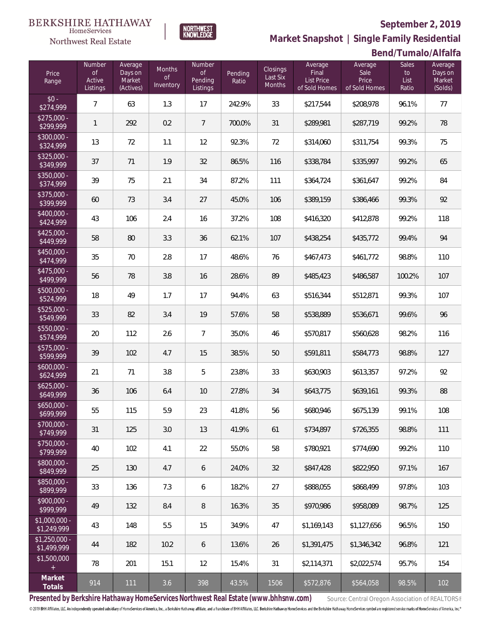

HomeServices Northwest Real Estate

**Market Snapshot | Single Family Residential**

### **Bend/Tumalo/Alfalfa**

| Price<br>Range                | Number<br>$\mathsf{of}$<br>Active<br>Listings | Average<br>Days on<br>Market<br>(Actives) | Months<br>0f<br>Inventory | Number<br><b>of</b><br>Pending<br>Listings | Pending<br>Ratio | <b>Closings</b><br>Last Six<br>Months | Average<br>Final<br><b>List Price</b><br>of Sold Homes | Average<br>Sale<br>Price<br>of Sold Homes | <b>Sales</b><br>to<br>List<br>Ratio | Average<br>Days on<br>Market<br>(Solds) |
|-------------------------------|-----------------------------------------------|-------------------------------------------|---------------------------|--------------------------------------------|------------------|---------------------------------------|--------------------------------------------------------|-------------------------------------------|-------------------------------------|-----------------------------------------|
| $$0 -$<br>\$274,999           | $\overline{7}$                                | 63                                        | 1.3                       | 17                                         | 242.9%           | 33                                    | \$217,544                                              | \$208,978                                 | 96.1%                               | 77                                      |
| $$275,000 -$<br>\$299,999     | 1                                             | 292                                       | 0.2                       | $\overline{7}$                             | 700.0%           | 31                                    | \$289,981                                              | \$287,719                                 | 99.2%                               | 78                                      |
| $$300,000 -$<br>\$324,999     | 13                                            | 72                                        | 1.1                       | 12                                         | 92.3%            | 72                                    | \$314,060                                              | \$311,754                                 | 99.3%                               | 75                                      |
| $$325,000 -$<br>\$349,999     | 37                                            | 71                                        | 1.9                       | 32                                         | 86.5%            | 116                                   | \$338,784                                              | \$335,997                                 | 99.2%                               | 65                                      |
| $$350,000 -$<br>\$374,999     | 39                                            | 75                                        | 2.1                       | 34                                         | 87.2%            | 111                                   | \$364,724                                              | \$361,647                                 | 99.2%                               | 84                                      |
| $$375,000 -$<br>\$399,999     | 60                                            | 73                                        | 3.4                       | 27                                         | 45.0%            | 106                                   | \$389,159                                              | \$386,466                                 | 99.3%                               | 92                                      |
| \$400,000 -<br>\$424,999      | 43                                            | 106                                       | 2.4                       | 16                                         | 37.2%            | 108                                   | \$416,320                                              | \$412,878                                 | 99.2%                               | 118                                     |
| $$425,000 -$<br>\$449,999     | 58                                            | 80                                        | 3.3                       | 36                                         | 62.1%            | 107                                   | \$438,254                                              | \$435,772                                 | 99.4%                               | 94                                      |
| $$450,000 -$<br>\$474,999     | 35                                            | 70                                        | 2.8                       | 17                                         | 48.6%            | 76                                    | \$467,473                                              | \$461,772                                 | 98.8%                               | 110                                     |
| $$475,000 -$<br>\$499,999     | 56                                            | 78                                        | 3.8                       | 16                                         | 28.6%            | 89                                    | \$485,423                                              | \$486,587                                 | 100.2%                              | 107                                     |
| $$500,000 -$<br>\$524,999     | 18                                            | 49                                        | 1.7                       | 17                                         | 94.4%            | 63                                    | \$516,344                                              | \$512,871                                 | 99.3%                               | 107                                     |
| \$525,000 -<br>\$549,999      | 33                                            | 82                                        | 3.4                       | 19                                         | 57.6%            | 58                                    | \$538,889                                              | \$536,671                                 | 99.6%                               | 96                                      |
| \$550,000 -<br>\$574,999      | 20                                            | 112                                       | 2.6                       | 7                                          | 35.0%            | 46                                    | \$570,817                                              | \$560,628                                 | 98.2%                               | 116                                     |
| \$575,000 -<br>\$599,999      | 39                                            | 102                                       | 4.7                       | 15                                         | 38.5%            | 50                                    | \$591,811                                              | \$584,773                                 | 98.8%                               | 127                                     |
| \$600,000 -<br>\$624,999      | 21                                            | 71                                        | 3.8                       | 5                                          | 23.8%            | 33                                    | \$630,903                                              | \$613,357                                 | 97.2%                               | 92                                      |
| $$625,000 -$<br>\$649,999     | 36                                            | 106                                       | 6.4                       | 10                                         | 27.8%            | 34                                    | \$643,775                                              | \$639,161                                 | 99.3%                               | 88                                      |
| $$650,000 -$<br>\$699,999     | 55                                            | 115                                       | 5.9                       | 23                                         | 41.8%            | 56                                    | \$680,946                                              | \$675,139                                 | 99.1%                               | 108                                     |
| \$700,000 -<br>\$749,999      | 31                                            | 125                                       | 3.0                       | 13                                         | 41.9%            | 61                                    | \$734,897                                              | \$726.355                                 | 98.8%                               | 111                                     |
| \$750,000 -<br>\$799,999      | 40                                            | 102                                       | 4.1                       | 22                                         | 55.0%            | 58                                    | \$780,921                                              | \$774,690                                 | 99.2%                               | 110                                     |
| \$800,000 -<br>\$849,999      | 25                                            | 130                                       | 4.7                       | 6                                          | 24.0%            | 32                                    | \$847,428                                              | \$822,950                                 | 97.1%                               | 167                                     |
| \$850,000 -<br>\$899,999      | 33                                            | 136                                       | 7.3                       | 6                                          | 18.2%            | 27                                    | \$888,055                                              | \$868,499                                 | 97.8%                               | 103                                     |
| \$900,000 -<br>\$999,999      | 49                                            | 132                                       | 8.4                       | 8                                          | 16.3%            | 35                                    | \$970,986                                              | \$958,089                                 | 98.7%                               | 125                                     |
| $$1,000,000 -$<br>\$1,249,999 | 43                                            | 148                                       | 5.5                       | 15                                         | 34.9%            | 47                                    | \$1,169,143                                            | \$1,127,656                               | 96.5%                               | 150                                     |
| $$1,250,000 -$<br>\$1,499,999 | 44                                            | 182                                       | 10.2                      | 6                                          | 13.6%            | 26                                    | \$1,391,475                                            | \$1,346,342                               | 96.8%                               | 121                                     |
| \$1,500,000<br>$+$            | 78                                            | 201                                       | 15.1                      | 12                                         | 15.4%            | 31                                    | \$2,114,371                                            | \$2,022,574                               | 95.7%                               | 154                                     |
| Market<br>Totals              | 914                                           | 111                                       | 3.6                       | 398                                        | 43.5%            | 1506                                  | \$572,876                                              | \$564,058                                 | 98.5%                               | 102                                     |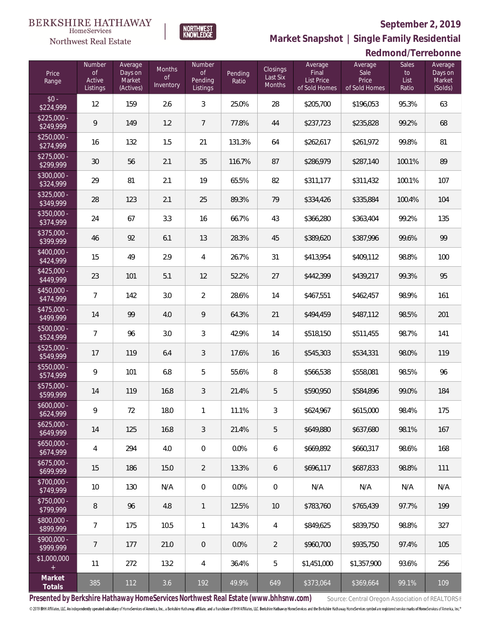**Redmond/Terrebonne**



**Market Snapshot | Single Family Residential**

### $\label{lem:sevices} \textsc{Home} \textsc{Service} \textsc{s}$ Northwest Real Estate

| Price<br>Range            | Number<br>$\circ f$<br>Active<br>Listings | Average<br>Days on<br>Market<br>(Actives) | Months<br><b>of</b><br>Inventory | Number<br>$\mathsf{of}$<br>Pending<br>Listings | Pending<br>Ratio | <b>Closings</b><br>Last Six<br>Months | Average<br>Final<br><b>List Price</b><br>of Sold Homes | Average<br>Sale<br>Price<br>of Sold Homes | Sales<br>to<br>List<br>Ratio | Average<br>Days on<br>Market<br>(Solds) |
|---------------------------|-------------------------------------------|-------------------------------------------|----------------------------------|------------------------------------------------|------------------|---------------------------------------|--------------------------------------------------------|-------------------------------------------|------------------------------|-----------------------------------------|
| $$0 -$<br>\$224,999       | 12                                        | 159                                       | 2.6                              | $\mathfrak{Z}$                                 | 25.0%            | 28                                    | \$205,700                                              | \$196,053                                 | 95.3%                        | 63                                      |
| $$225,000 -$<br>\$249,999 | 9                                         | 149                                       | 1.2                              | $\overline{7}$                                 | 77.8%            | 44                                    | \$237,723                                              | \$235,828                                 | 99.2%                        | 68                                      |
| $$250,000 -$<br>\$274,999 | 16                                        | 132                                       | 1.5                              | 21                                             | 131.3%           | 64                                    | \$262,617                                              | \$261,972                                 | 99.8%                        | 81                                      |
| $$275,000 -$<br>\$299,999 | 30                                        | 56                                        | 2.1                              | 35                                             | 116.7%           | 87                                    | \$286,979                                              | \$287,140                                 | 100.1%                       | 89                                      |
| $$300.000 -$<br>\$324,999 | 29                                        | 81                                        | 2.1                              | 19                                             | 65.5%            | 82                                    | \$311,177                                              | \$311,432                                 | 100.1%                       | 107                                     |
| $$325,000 -$<br>\$349,999 | 28                                        | 123                                       | 2.1                              | 25                                             | 89.3%            | 79                                    | \$334,426                                              | \$335,884                                 | 100.4%                       | 104                                     |
| $$350.000 -$<br>\$374,999 | 24                                        | 67                                        | 3.3                              | 16                                             | 66.7%            | 43                                    | \$366,280                                              | \$363,404                                 | 99.2%                        | 135                                     |
| \$375,000 -<br>\$399,999  | 46                                        | 92                                        | 6.1                              | 13                                             | 28.3%            | 45                                    | \$389,620                                              | \$387,996                                 | 99.6%                        | 99                                      |
| \$400,000 -<br>\$424,999  | 15                                        | 49                                        | 2.9                              | 4                                              | 26.7%            | 31                                    | \$413,954                                              | \$409,112                                 | 98.8%                        | 100                                     |
| $$425,000 -$<br>\$449,999 | 23                                        | 101                                       | 5.1                              | 12                                             | 52.2%            | 27                                    | \$442,399                                              | \$439,217                                 | 99.3%                        | 95                                      |
| \$450,000 -<br>\$474,999  | $\overline{7}$                            | 142                                       | 3.0                              | 2                                              | 28.6%            | 14                                    | \$467,551                                              | \$462,457                                 | 98.9%                        | 161                                     |
| \$475,000 -<br>\$499,999  | 14                                        | 99                                        | 4.0                              | 9                                              | 64.3%            | 21                                    | \$494,459                                              | \$487,112                                 | 98.5%                        | 201                                     |
| \$500,000 -<br>\$524,999  | $\overline{7}$                            | 96                                        | 3.0                              | 3                                              | 42.9%            | 14                                    | \$518,150                                              | \$511,455                                 | 98.7%                        | 141                                     |
| \$525,000 -<br>\$549,999  | 17                                        | 119                                       | 6.4                              | 3                                              | 17.6%            | 16                                    | \$545,303                                              | \$534,331                                 | 98.0%                        | 119                                     |
| \$550,000 -<br>\$574,999  | 9                                         | 101                                       | 6.8                              | 5                                              | 55.6%            | 8                                     | \$566,538                                              | \$558,081                                 | 98.5%                        | 96                                      |
| \$575,000 -<br>\$599,999  | 14                                        | 119                                       | 16.8                             | 3                                              | 21.4%            | 5                                     | \$590,950                                              | \$584,896                                 | 99.0%                        | 184                                     |
| \$600,000 -<br>\$624,999  | 9                                         | 72                                        | 18.0                             | 1                                              | 11.1%            | 3                                     | \$624,967                                              | \$615,000                                 | 98.4%                        | 175                                     |
| $$625,000 -$<br>\$649,999 | 14                                        | 125                                       | 16.8                             | 3                                              | 21.4%            | 5                                     | \$649,880                                              | \$637,680                                 | 98.1%                        | 167                                     |
| $$650,000 -$<br>\$674,999 | 4                                         | 294                                       | 4.0                              | $\mathbf 0$                                    | 0.0%             | 6                                     | \$669,892                                              | \$660,317                                 | 98.6%                        | 168                                     |
| $$675,000 -$<br>\$699,999 | 15                                        | 186                                       | 15.0                             | $\overline{2}$                                 | 13.3%            | 6                                     | \$696.117                                              | \$687.833                                 | 98.8%                        | 111                                     |
| \$700,000 -<br>\$749,999  | 10                                        | 130                                       | N/A                              | $\mathbf 0$                                    | 0.0%             | $\mathbf 0$                           | N/A                                                    | N/A                                       | N/A                          | N/A                                     |
| $$750,000 -$<br>\$799,999 | 8                                         | 96                                        | 4.8                              | $\mathbf{1}$                                   | 12.5%            | 10                                    | \$783,760                                              | \$765.439                                 | 97.7%                        | 199                                     |
| \$800,000 -<br>\$899,999  | $\overline{7}$                            | 175                                       | 10.5                             | 1                                              | 14.3%            | $\overline{4}$                        | \$849,625                                              | \$839,750                                 | 98.8%                        | 327                                     |
| \$900,000 -<br>\$999,999  | $\overline{7}$                            | 177                                       | 21.0                             | $\overline{0}$                                 | 0.0%             | $\overline{2}$                        | \$960,700                                              | \$935,750                                 | 97.4%                        | 105                                     |
| \$1,000,000<br>$+$        | 11                                        | 272                                       | 13.2                             | 4                                              | 36.4%            | 5                                     | \$1,451,000                                            | \$1,357,900                               | 93.6%                        | 256                                     |
| Market<br>Totals          | 385                                       | 112                                       | 3.6                              | 192                                            | 49.9%            | 649                                   | \$373,064                                              | \$369,664                                 | 99.1%                        | 109                                     |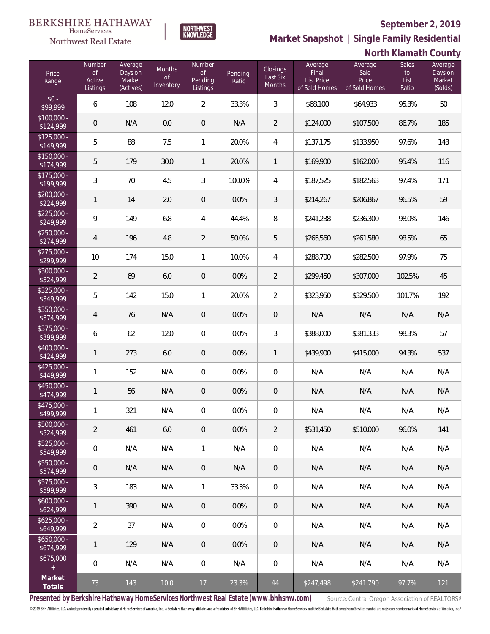

 $\label{lem:sevices} \textsc{Home} \textsc{Service} \textsc{s}$ 

**Market Snapshot | Single Family Residential**

# **North Klamath County**

| Price<br>Range                                | Number<br>$\mathsf{of}$<br>Active<br>Listings | Average<br>Days on<br>Market<br>(Actives) | Months<br>0f<br>Inventory | Number<br><b>of</b><br><b>Pending</b><br>Listings | Pending<br>Ratio | <b>Closings</b><br>Last Six<br>Months | Average<br>Final<br><b>List Price</b><br>of Sold Homes | Average<br>Sale<br>Price<br>of Sold Homes | Sales<br>$\mathsf{to}$<br>List<br>Ratio | Average<br>Days on<br>Market<br>(Solds) |
|-----------------------------------------------|-----------------------------------------------|-------------------------------------------|---------------------------|---------------------------------------------------|------------------|---------------------------------------|--------------------------------------------------------|-------------------------------------------|-----------------------------------------|-----------------------------------------|
| $$0 -$<br>\$99,999                            | 6                                             | 108                                       | 12.0                      | $\overline{2}$                                    | 33.3%            | $\mathfrak{Z}$                        | \$68,100                                               | \$64,933                                  | 95.3%                                   | 50                                      |
| $$100,000 -$<br>\$124,999                     | $\mathbf 0$                                   | N/A                                       | 0.0                       | 0                                                 | N/A              | $\overline{2}$                        | \$124,000                                              | \$107,500                                 | 86.7%                                   | 185                                     |
| $$125,000 -$<br>\$149,999                     | 5                                             | 88                                        | 7.5                       | $\mathbf{1}$                                      | 20.0%            | $\overline{4}$                        | \$137,175                                              | \$133,950                                 | 97.6%                                   | 143                                     |
| $$150,000 -$<br>\$174,999                     | 5                                             | 179                                       | 30.0                      | $\mathbf{1}$                                      | 20.0%            | $\mathbf{1}$                          | \$169,900                                              | \$162,000                                 | 95.4%                                   | 116                                     |
| $$175,000 -$<br>\$199,999                     | $\mathfrak{Z}$                                | 70                                        | 4.5                       | 3                                                 | 100.0%           | $\overline{4}$                        | \$187,525                                              | \$182,563                                 | 97.4%                                   | 171                                     |
| $$200,000 -$<br>\$224,999                     | $\mathbf{1}$                                  | 14                                        | 2.0                       | 0                                                 | 0.0%             | 3                                     | \$214,267                                              | \$206,867                                 | 96.5%                                   | 59                                      |
| $$225,000 -$<br>\$249,999                     | 9                                             | 149                                       | 6.8                       | 4                                                 | 44.4%            | 8                                     | \$241,238                                              | \$236,300                                 | 98.0%                                   | 146                                     |
| $$250,000 -$<br>\$274,999                     | $\overline{4}$                                | 196                                       | 4.8                       | $\overline{2}$                                    | 50.0%            | 5                                     | \$265,560                                              | \$261,580                                 | 98.5%                                   | 65                                      |
| $$275,000 -$<br>\$299,999                     | 10                                            | 174                                       | 15.0                      | 1                                                 | 10.0%            | $\overline{4}$                        | \$288,700                                              | \$282,500                                 | 97.9%                                   | 75                                      |
| $$300,000 -$<br>\$324,999                     | $\sqrt{2}$                                    | 69                                        | 6.0                       | $\overline{0}$                                    | 0.0%             | $\overline{2}$                        | \$299,450                                              | \$307,000                                 | 102.5%                                  | 45                                      |
| $$325,000 -$<br>\$349,999                     | 5                                             | 142                                       | 15.0                      | $\mathbf{1}$                                      | 20.0%            | $\overline{2}$                        | \$323,950                                              | \$329,500                                 | 101.7%                                  | 192                                     |
| \$350,000 -<br>\$374,999                      | $\overline{4}$                                | 76                                        | N/A                       | 0                                                 | 0.0%             | $\mathbf 0$                           | N/A                                                    | N/A                                       | N/A                                     | N/A                                     |
| \$375,000 -<br>\$399,999                      | 6                                             | 62                                        | 12.0                      | 0                                                 | 0.0%             | 3                                     | \$388,000                                              | \$381,333                                 | 98.3%                                   | 57                                      |
| \$400,000 -<br>\$424,999                      | $\mathbf{1}$                                  | 273                                       | 6.0                       | $\mathbf 0$                                       | 0.0%             | 1                                     | \$439,900                                              | \$415,000                                 | 94.3%                                   | 537                                     |
| $$425,000 -$<br>\$449,999                     | $\mathbf{1}$                                  | 152                                       | N/A                       | 0                                                 | 0.0%             | $\mathbf 0$                           | N/A                                                    | N/A                                       | N/A                                     | N/A                                     |
| $$450,000 -$<br>\$474,999                     | $\mathbf{1}$                                  | 56                                        | N/A                       | 0                                                 | 0.0%             | $\mathbf 0$                           | N/A                                                    | N/A                                       | N/A                                     | N/A                                     |
| $$475,000 -$<br>\$499,999                     | $\mathbf{1}$                                  | 321                                       | N/A                       | $\mathbf 0$                                       | 0.0%             | $\mathbf 0$                           | N/A                                                    | N/A                                       | N/A                                     | N/A                                     |
| \$500,000 -<br>\$524,999                      | $\overline{2}$                                | 461                                       | 6.0                       | $\overline{0}$                                    | 0.0%             | 2                                     | \$531,450                                              | \$510,000                                 | 96.0%                                   | 141                                     |
| $$525,000 -$<br>\$549,999                     | $\mathbf 0$                                   | N/A                                       | N/A                       | 1                                                 | N/A              | $\mathbf 0$                           | N/A                                                    | N/A                                       | N/A                                     | N/A                                     |
| $$550,000 -$<br>\$574,999                     | $\mathbf 0$                                   | N/A                                       | N/A                       | 0                                                 | N/A              | $\mathsf{O}\xspace$                   | N/A                                                    | N/A                                       | N/A                                     | N/A                                     |
| $$575,000 -$<br>\$599,999                     | 3                                             | 183                                       | N/A                       | 1                                                 | 33.3%            | $\overline{0}$                        | N/A                                                    | N/A                                       | N/A                                     | N/A                                     |
| $$600,000 -$<br>\$624,999                     | $\mathbf{1}$                                  | 390                                       | N/A                       | 0                                                 | 0.0%             | $\overline{0}$                        | N/A                                                    | N/A                                       | N/A                                     | N/A                                     |
| $$625,000 -$<br>\$649,999                     | $\overline{2}$                                | 37                                        | N/A                       | 0                                                 | 0.0%             | $\overline{0}$                        | N/A                                                    | N/A                                       | N/A                                     | N/A                                     |
| $$650,000 -$<br>\$674,999                     | $\mathbf{1}$                                  | 129                                       | N/A                       | 0                                                 | 0.0%             | $\overline{0}$                        | N/A                                                    | N/A                                       | N/A                                     | N/A                                     |
| \$675,000<br>$\begin{array}{c} + \end{array}$ | $\mathbf 0$                                   | N/A                                       | N/A                       | 0                                                 | N/A              | $\overline{0}$                        | N/A                                                    | N/A                                       | N/A                                     | N/A                                     |
| Market<br>Totals                              | 73                                            | 143                                       | 10.0                      | 17                                                | 23.3%            | 44                                    | \$247,498                                              | \$241,790                                 | 97.7%                                   | 121                                     |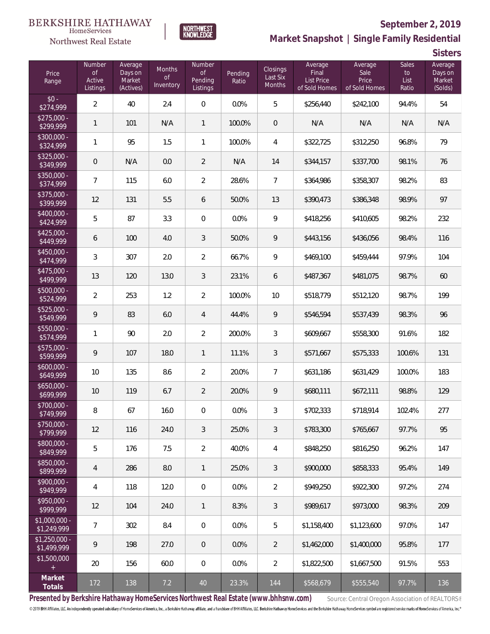### **BERKSHIRE HATHAWAY**  $\label{lem:sevices} \textsc{Home} \textsc{Service} \textsc{s}$





# **September 2, 2019**

**Market Snapshot | Single Family Residential**

**Sisters**

| Price<br>Range                | Number<br><b>of</b><br>Active<br>Listings | Average<br>Days on<br>Market<br>(Actives) | Months<br><b>of</b><br>Inventory | Number<br><b>of</b><br>Pending<br>Listings | Pending<br>Ratio | <b>Closings</b><br>Last Six<br>Months | Average<br>Final<br><b>List Price</b><br>of Sold Homes | Average<br>Sale<br>Price<br>of Sold Homes | Sales<br>to<br>List<br>Ratio | Average<br>Days on<br>Market<br>(Solds) |
|-------------------------------|-------------------------------------------|-------------------------------------------|----------------------------------|--------------------------------------------|------------------|---------------------------------------|--------------------------------------------------------|-------------------------------------------|------------------------------|-----------------------------------------|
| $$0 -$<br>\$274,999           | $\overline{2}$                            | 40                                        | 2.4                              | $\boldsymbol{0}$                           | 0.0%             | 5                                     | \$256,440                                              | \$242,100                                 | 94.4%                        | 54                                      |
| $$275,000 -$<br>\$299,999     | 1                                         | 101                                       | N/A                              | $\mathbf{1}$                               | 100.0%           | $\theta$                              | N/A                                                    | N/A                                       | N/A                          | N/A                                     |
| $$300,000 -$<br>\$324,999     | 1                                         | 95                                        | 1.5                              | $\mathbf{1}$                               | 100.0%           | 4                                     | \$322,725                                              | \$312,250                                 | 96.8%                        | 79                                      |
| $$325,000 -$<br>\$349,999     | $\mathbf 0$                               | N/A                                       | 0.0                              | $\overline{2}$                             | N/A              | 14                                    | \$344,157                                              | \$337,700                                 | 98.1%                        | 76                                      |
| \$350,000 -<br>\$374,999      | $\overline{7}$                            | 115                                       | 6.0                              | $\overline{2}$                             | 28.6%            | $\overline{7}$                        | \$364,986                                              | \$358,307                                 | 98.2%                        | 83                                      |
| \$375,000 -<br>\$399,999      | 12                                        | 131                                       | 5.5                              | 6                                          | 50.0%            | 13                                    | \$390,473                                              | \$386,348                                 | 98.9%                        | 97                                      |
| \$400,000 -<br>\$424,999      | 5                                         | 87                                        | 3.3                              | $\mathbf 0$                                | 0.0%             | 9                                     | \$418,256                                              | \$410,605                                 | 98.2%                        | 232                                     |
| $$425,000 -$<br>\$449,999     | 6                                         | 100                                       | 4.0                              | 3                                          | 50.0%            | 9                                     | \$443,156                                              | \$436,056                                 | 98.4%                        | 116                                     |
| \$450,000 -<br>\$474,999      | $\mathfrak{Z}$                            | 307                                       | 2.0                              | $\overline{2}$                             | 66.7%            | 9                                     | \$469,100                                              | \$459,444                                 | 97.9%                        | 104                                     |
| $$475,000 -$<br>\$499,999     | 13                                        | 120                                       | 13.0                             | 3                                          | 23.1%            | 6                                     | \$487,367                                              | \$481,075                                 | 98.7%                        | 60                                      |
| \$500,000 -<br>\$524,999      | $\overline{2}$                            | 253                                       | 1.2                              | $\overline{2}$                             | 100.0%           | 10                                    | \$518,779                                              | \$512,120                                 | 98.7%                        | 199                                     |
| $$525,000 -$<br>\$549,999     | $\mathsf{Q}$                              | 83                                        | 6.0                              | 4                                          | 44.4%            | 9                                     | \$546,594                                              | \$537,439                                 | 98.3%                        | 96                                      |
| \$550,000 -<br>\$574,999      | $\mathbf{1}$                              | 90                                        | 2.0                              | $\overline{2}$                             | 200.0%           | 3                                     | \$609,667                                              | \$558,300                                 | 91.6%                        | 182                                     |
| $$575,000 -$<br>\$599,999     | $\mathsf{Q}$                              | 107                                       | 18.0                             | $\mathbf{1}$                               | 11.1%            | 3                                     | \$571,667                                              | \$575,333                                 | 100.6%                       | 131                                     |
| $$600,000 -$<br>\$649,999     | 10                                        | 135                                       | 8.6                              | $\overline{2}$                             | 20.0%            | 7                                     | \$631,186                                              | \$631,429                                 | 100.0%                       | 183                                     |
| $$650,000 -$<br>\$699,999     | 10                                        | 119                                       | 6.7                              | $\overline{2}$                             | 20.0%            | 9                                     | \$680,111                                              | \$672,111                                 | 98.8%                        | 129                                     |
| \$700,000 -<br>\$749,999      | 8                                         | 67                                        | 16.0                             | 0                                          | 0.0%             | 3                                     | \$702,333                                              | \$718,914                                 | 102.4%                       | 277                                     |
| \$750,000 -<br>\$799,999      | 12                                        | 116                                       | 24.0                             | 3                                          | 25.0%            | 3                                     | \$783,300                                              | \$765,667                                 | 97.7%                        | 95                                      |
| $$800,000 -$<br>\$849,999     | 5                                         | 176                                       | 7.5                              | $\overline{2}$                             | 40.0%            | 4                                     | \$848,250                                              | \$816,250                                 | 96.2%                        | 147                                     |
| $$850,000 -$<br>\$899,999     | $\overline{4}$                            | 286                                       | 8.0                              | $\mathbf{1}$                               | 25.0%            | 3                                     | \$900,000                                              | \$858,333                                 | 95.4%                        | 149                                     |
| $$900,000 -$<br>\$949,999     | 4                                         | 118                                       | 12.0                             | $\overline{0}$                             | 0.0%             | 2                                     | \$949,250                                              | \$922,300                                 | 97.2%                        | 274                                     |
| $$950,000 -$<br>\$999,999     | 12                                        | 104                                       | 24.0                             | $\mathbf{1}$                               | 8.3%             | 3                                     | \$989,617                                              | \$973,000                                 | 98.3%                        | 209                                     |
| $$1,000,000 -$<br>\$1,249,999 | 7                                         | 302                                       | 8.4                              | 0                                          | 0.0%             | 5                                     | \$1,158,400                                            | \$1,123,600                               | 97.0%                        | 147                                     |
| $$1,250,000 -$<br>\$1,499,999 | 9                                         | 198                                       | 27.0                             | 0                                          | $0.0\%$          | 2                                     | \$1,462,000                                            | \$1,400,000                               | 95.8%                        | 177                                     |
| \$1,500,000<br>$+$            | 20                                        | 156                                       | 60.0                             | 0                                          | $0.0\%$          | 2                                     | \$1,822,500                                            | \$1,667,500                               | 91.5%                        | 553                                     |
| Market<br>Totals              | 172                                       | 138                                       | 7.2                              | 40                                         | 23.3%            | 144                                   | \$568,679                                              | \$555,540                                 | 97.7%                        | 136                                     |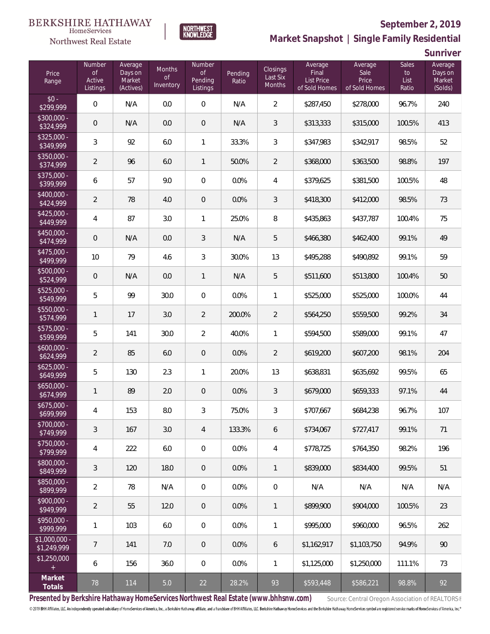### **BERKSHIRE HATHAWAY**  $\label{lem:sevices} \textsc{Home} \textsc{Service} \textsc{s}$



### **September 2, 2019**

**Market Snapshot | Single Family Residential**

**Sunriver**

| Price<br>Range                | Number<br>0f<br>Active<br>Listings | Average<br>Days on<br>Market<br>(Actives) | <b>Months</b><br><b>of</b><br>Inventory | Number<br><b>of</b><br>Pending<br>Listings | Pending<br>Ratio | <b>Closings</b><br>Last Six<br>Months | Average<br>Final<br>List Price<br>of Sold Homes | Average<br>Sale<br>Price<br>of Sold Homes | <b>Sales</b><br>to<br>List<br>Ratio | Average<br>Days on<br>Market<br>(Solds) |
|-------------------------------|------------------------------------|-------------------------------------------|-----------------------------------------|--------------------------------------------|------------------|---------------------------------------|-------------------------------------------------|-------------------------------------------|-------------------------------------|-----------------------------------------|
| $$0 -$<br>\$299,999           | $\mathbf 0$                        | N/A                                       | 0.0                                     | $\mathbf 0$                                | N/A              | $\overline{2}$                        | \$287,450                                       | \$278,000                                 | 96.7%                               | 240                                     |
| \$300,000 -<br>\$324,999      | $\mathbf 0$                        | N/A                                       | 0.0                                     | $\mathbf 0$                                | N/A              | $\mathfrak{Z}$                        | \$313,333                                       | \$315,000                                 | 100.5%                              | 413                                     |
| $$325,000 -$<br>\$349,999     | $\mathfrak{Z}$                     | 92                                        | 6.0                                     | 1                                          | 33.3%            | 3                                     | \$347,983                                       | \$342,917                                 | 98.5%                               | 52                                      |
| \$350,000 -<br>\$374,999      | $\overline{2}$                     | 96                                        | 6.0                                     | $\mathbf{1}$                               | 50.0%            | $\overline{2}$                        | \$368,000                                       | \$363,500                                 | 98.8%                               | 197                                     |
| \$375,000 -<br>\$399,999      | 6                                  | 57                                        | 9.0                                     | $\mathbf 0$                                | 0.0%             | $\overline{4}$                        | \$379,625                                       | \$381,500                                 | 100.5%                              | 48                                      |
| \$400,000 -<br>\$424,999      | $\overline{2}$                     | 78                                        | 4.0                                     | $\mathbf 0$                                | 0.0%             | 3                                     | \$418,300                                       | \$412,000                                 | 98.5%                               | 73                                      |
| $$425,000 -$<br>\$449,999     | 4                                  | 87                                        | 3.0                                     | 1                                          | 25.0%            | 8                                     | \$435,863                                       | \$437,787                                 | 100.4%                              | 75                                      |
| $$450,000 -$<br>\$474,999     | $\mathbf 0$                        | N/A                                       | 0.0                                     | $\sqrt{3}$                                 | N/A              | 5                                     | \$466,380                                       | \$462,400                                 | 99.1%                               | 49                                      |
| $$475,000 -$<br>\$499,999     | 10                                 | 79                                        | 4.6                                     | $\sqrt{3}$                                 | 30.0%            | 13                                    | \$495,288                                       | \$490,892                                 | 99.1%                               | 59                                      |
| \$500,000 -<br>\$524,999      | $\mathbf 0$                        | N/A                                       | 0.0                                     | $\mathbf{1}$                               | N/A              | 5                                     | \$511,600                                       | \$513,800                                 | 100.4%                              | $50\,$                                  |
| \$525,000 -<br>\$549,999      | 5                                  | 99                                        | 30.0                                    | $\mathbf 0$                                | 0.0%             | 1                                     | \$525,000                                       | \$525,000                                 | 100.0%                              | 44                                      |
| \$550,000 -<br>\$574,999      | $\mathbf{1}$                       | 17                                        | 3.0                                     | $\overline{2}$                             | 200.0%           | $\overline{2}$                        | \$564,250                                       | \$559,500                                 | 99.2%                               | 34                                      |
| \$575,000 -<br>\$599,999      | 5                                  | 141                                       | 30.0                                    | $\overline{2}$                             | 40.0%            | 1                                     | \$594,500                                       | \$589,000                                 | 99.1%                               | 47                                      |
| $$600,000 -$<br>\$624,999     | $\overline{2}$                     | 85                                        | 6.0                                     | $\mathbf 0$                                | 0.0%             | $\overline{2}$                        | \$619,200                                       | \$607,200                                 | 98.1%                               | 204                                     |
| $$625,000 -$<br>\$649,999     | 5                                  | 130                                       | 2.3                                     | $\mathbf{1}$                               | 20.0%            | 13                                    | \$638,831                                       | \$635,692                                 | 99.5%                               | 65                                      |
| $$650,000 -$<br>\$674,999     | $\mathbf{1}$                       | 89                                        | 2.0                                     | $\mathbf 0$                                | 0.0%             | 3                                     | \$679,000                                       | \$659,333                                 | 97.1%                               | 44                                      |
| $$675,000 -$<br>\$699,999     | 4                                  | 153                                       | 8.0                                     | $\mathfrak{Z}$                             | 75.0%            | 3                                     | \$707,667                                       | \$684,238                                 | 96.7%                               | 107                                     |
| $$700,000 -$<br>\$749,999     | 3                                  | 167                                       | 3.0                                     | $\overline{4}$                             | 133.3%           | 6                                     | \$734,067                                       | \$727,417                                 | 99.1%                               | 71                                      |
| \$750,000 -<br>\$799,999      | 4                                  | 222                                       | 6.0                                     | $\mathbf 0$                                | 0.0%             | 4                                     | \$778,725                                       | \$764,350                                 | 98.2%                               | 196                                     |
| $$800,000 -$<br>\$849,999     | $\mathfrak{Z}$                     | 120                                       | 18.0                                    | $\mathbf 0$                                | 0.0%             | $\mathbf{1}$                          | \$839,000                                       | \$834,400                                 | 99.5%                               | 51                                      |
| \$850,000 -<br>\$899,999      | $\overline{2}$                     | 78                                        | N/A                                     | $\mathbf 0$                                | 0.0%             | $\mathbf 0$                           | N/A                                             | N/A                                       | N/A                                 | N/A                                     |
| $$900,000 -$<br>\$949,999     | $\overline{2}$                     | 55                                        | 12.0                                    | $\mathbf 0$                                | 0.0%             | $\mathbf{1}$                          | \$899,900                                       | \$904,000                                 | 100.5%                              | 23                                      |
| $$950,000 -$<br>\$999,999     | $\mathbf{1}$                       | 103                                       | 6.0                                     | $\mathbf 0$                                | 0.0%             | 1                                     | \$995,000                                       | \$960,000                                 | 96.5%                               | 262                                     |
| $$1,000,000 -$<br>\$1,249,999 | $\overline{7}$                     | 141                                       | 7.0                                     | $\mathbf 0$                                | 0.0%             | 6                                     | \$1,162,917                                     | \$1,103,750                               | 94.9%                               | 90                                      |
| \$1,250,000<br>$\pm$          | 6                                  | 156                                       | 36.0                                    | $\mathbf 0$                                | 0.0%             | 1                                     | \$1,125,000                                     | \$1,250,000                               | 111.1%                              | 73                                      |
| Market<br>Totals              | 78                                 | 114                                       | 5.0                                     | 22                                         | 28.2%            | 93                                    | \$593,448                                       | \$586,221                                 | 98.8%                               | 92                                      |

**NORTHWEST**<br>KNOWLEDGE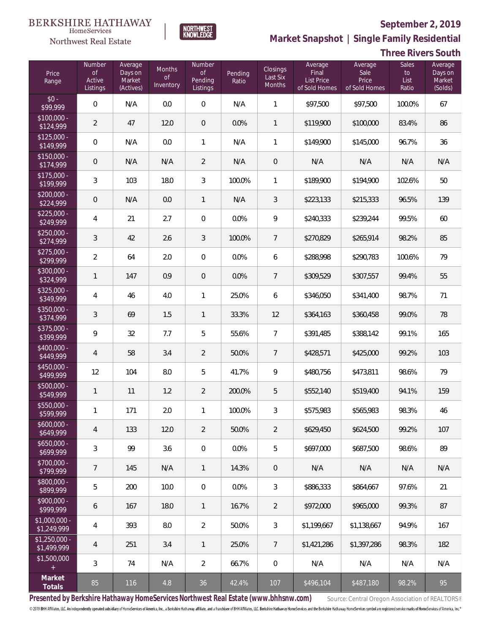

NORTHWEST<br>KNOWLEDGE

Northwest Real Estate

**Market Snapshot | Single Family Residential**

# **Three Rivers South**

| Price<br>Range                | Number<br>of<br>Active<br>Listings | Average<br>Days on<br>Market<br>(Actives) | Months<br>0f<br>Inventory | <b>Number</b><br>of<br>Pending<br>Listings | Pending<br>Ratio | <b>Closings</b><br>Last Six<br>Months | Average<br>Final<br><b>List Price</b><br>of Sold Homes | Average<br>Sale<br>Price<br>of Sold Homes | <b>Sales</b><br>to<br>List<br>Ratio | Average<br>Days on<br>Market<br>(Solds) |
|-------------------------------|------------------------------------|-------------------------------------------|---------------------------|--------------------------------------------|------------------|---------------------------------------|--------------------------------------------------------|-------------------------------------------|-------------------------------------|-----------------------------------------|
| $$0 -$<br>\$99,999            | $\overline{0}$                     | N/A                                       | 0.0                       | $\mathbf 0$                                | N/A              | $\mathbf{1}$                          | \$97,500                                               | \$97,500                                  | 100.0%                              | 67                                      |
| $$100,000 -$<br>\$124,999     | $\overline{2}$                     | 47                                        | 12.0                      | $\overline{0}$                             | 0.0%             | 1                                     | \$119,900                                              | \$100,000                                 | 83.4%                               | 86                                      |
| $$125,000 -$<br>\$149,999     | $\overline{0}$                     | N/A                                       | 0.0                       | $\mathbf{1}$                               | N/A              | 1                                     | \$149,900                                              | \$145,000                                 | 96.7%                               | 36                                      |
| $$150,000 -$<br>\$174,999     | $\mathbf 0$                        | N/A                                       | N/A                       | $\overline{2}$                             | N/A              | $\mathbf{0}$                          | N/A                                                    | N/A                                       | N/A                                 | N/A                                     |
| $$175,000 -$<br>\$199,999     | 3                                  | 103                                       | 18.0                      | $\mathfrak{Z}$                             | 100.0%           | 1                                     | \$189,900                                              | \$194,900                                 | 102.6%                              | 50                                      |
| $$200,000 -$<br>\$224,999     | $\mathbf 0$                        | N/A                                       | 0.0                       | $\mathbf{1}$                               | N/A              | 3                                     | \$223,133                                              | \$215,333                                 | 96.5%                               | 139                                     |
| $$225,000 -$<br>\$249,999     | $\sqrt{4}$                         | 21                                        | 2.7                       | $\mathbf 0$                                | 0.0%             | 9                                     | \$240,333                                              | \$239,244                                 | 99.5%                               | 60                                      |
| $$250,000 -$<br>\$274,999     | 3                                  | 42                                        | 2.6                       | $\mathfrak{Z}$                             | 100.0%           | $\overline{7}$                        | \$270,829                                              | \$265,914                                 | 98.2%                               | 85                                      |
| $$275,000 -$<br>\$299,999     | $\overline{2}$                     | 64                                        | 2.0                       | $\mathbf 0$                                | 0.0%             | 6                                     | \$288,998                                              | \$290,783                                 | 100.6%                              | 79                                      |
| $$300,000 -$<br>\$324,999     | $\mathbf{1}$                       | 147                                       | 0.9                       | $\mathbf 0$                                | 0.0%             | $\overline{7}$                        | \$309,529                                              | \$307,557                                 | 99.4%                               | 55                                      |
| $$325,000 -$<br>\$349,999     | $\sqrt{4}$                         | 46                                        | 4.0                       | $\mathbf{1}$                               | 25.0%            | 6                                     | \$346,050                                              | \$341,400                                 | 98.7%                               | 71                                      |
| $$350,000 -$<br>\$374,999     | 3                                  | 69                                        | 1.5                       | $\mathbf{1}$                               | 33.3%            | 12                                    | \$364,163                                              | \$360,458                                 | 99.0%                               | 78                                      |
| $$375,000 -$<br>\$399,999     | 9                                  | 32                                        | 7.7                       | 5                                          | 55.6%            | $\overline{7}$                        | \$391,485                                              | \$388,142                                 | 99.1%                               | 165                                     |
| $$400,000 -$<br>\$449,999     | $\sqrt{4}$                         | 58                                        | 3.4                       | $\overline{2}$                             | 50.0%            | $\overline{7}$                        | \$428,571                                              | \$425,000                                 | 99.2%                               | 103                                     |
| $$450,000 -$<br>\$499,999     | 12                                 | 104                                       | 8.0                       | 5                                          | 41.7%            | 9                                     | \$480,756                                              | \$473,811                                 | 98.6%                               | 79                                      |
| $$500,000 -$<br>\$549,999     | $\mathbf{1}$                       | 11                                        | 1.2                       | $\overline{2}$                             | 200.0%           | 5                                     | \$552,140                                              | \$519,400                                 | 94.1%                               | 159                                     |
| \$550,000 -<br>\$599,999      | $\mathbf{1}$                       | 171                                       | 2.0                       | $\mathbf{1}$                               | 100.0%           | $\mathfrak{Z}$                        | \$575,983                                              | \$565,983                                 | 98.3%                               | 46                                      |
| $$600,000 -$<br>\$649,999     | 4                                  | 133                                       | 12.0                      | $\overline{2}$                             | 50.0%            | $\overline{2}$                        | \$629,450                                              | \$624,500                                 | 99.2%                               | 107                                     |
| $$650,000 -$<br>\$699,999     | 3                                  | 99                                        | 3.6                       | $\mathbf 0$                                | 0.0%             | 5                                     | \$697,000                                              | \$687,500                                 | 98.6%                               | 89                                      |
| $$700,000 -$<br>\$799,999     | 7                                  | 145                                       | N/A                       | $\mathbf{1}$                               | 14.3%            | $\theta$                              | N/A                                                    | N/A                                       | N/A                                 | N/A                                     |
| \$800,000 -<br>\$899,999      | 5                                  | 200                                       | 10.0                      | $\mathbf 0$                                | 0.0%             | $\mathfrak{Z}$                        | \$886,333                                              | \$864,667                                 | 97.6%                               | 21                                      |
| $$900,000 -$<br>\$999,999     | 6                                  | 167                                       | 18.0                      | $\overline{\phantom{a}}$                   | 16.7%            | $\overline{2}$                        | \$972,000                                              | \$965,000                                 | 99.3%                               | 87                                      |
| $$1,000,000 -$<br>\$1,249,999 | $\overline{4}$                     | 393                                       | 8.0                       | $\overline{2}$                             | 50.0%            | $\mathfrak{Z}$                        | \$1,199,667                                            | \$1,138,667                               | 94.9%                               | 167                                     |
| $$1,250,000 -$<br>\$1,499,999 | 4                                  | 251                                       | 3.4                       | $\mathbf{1}$                               | 25.0%            | 7                                     | \$1,421,286                                            | \$1,397,286                               | 98.3%                               | 182                                     |
| \$1,500,000<br>$\pm$          | $\mathfrak{Z}$                     | 74                                        | N/A                       | $\overline{2}$                             | 66.7%            | $\mathbf 0$                           | N/A                                                    | N/A                                       | N/A                                 | N/A                                     |
| Market<br>Totals              | 85                                 | 116                                       | 4.8                       | 36                                         | 42.4%            | 107                                   | \$496,104                                              | \$487,180                                 | 98.2%                               | 95                                      |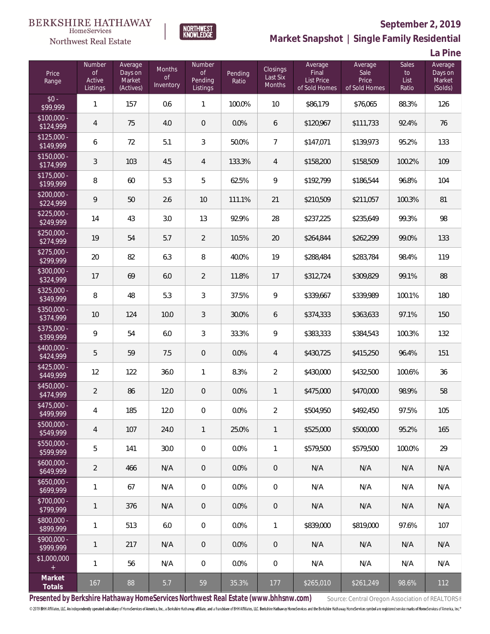### BERKSHIRE HATHAWAY HomeServices





**Market Snapshot | Single Family Residential**

**La Pine**

**September 2, 2019**

| Price<br>Range            | Number<br><b>of</b><br>Active<br>Listings | Average<br>Days on<br>Market<br>(Actives) | <b>Months</b><br><b>of</b><br>Inventory | Number<br><b>of</b><br>Pending<br>Listings | Pending<br>Ratio | Closings<br>Last Six<br>Months | Average<br>Final<br><b>List Price</b><br>of Sold Homes | Average<br>Sale<br>Price<br>of Sold Homes | <b>Sales</b><br>to<br>List<br>Ratio | Average<br>Days on<br>Market<br>(Solds) |
|---------------------------|-------------------------------------------|-------------------------------------------|-----------------------------------------|--------------------------------------------|------------------|--------------------------------|--------------------------------------------------------|-------------------------------------------|-------------------------------------|-----------------------------------------|
| $$0 -$<br>\$99,999        | $\mathbf{1}$                              | 157                                       | 0.6                                     | $\mathbf{1}$                               | 100.0%           | 10                             | \$86,179                                               | \$76,065                                  | 88.3%                               | 126                                     |
| $$100,000 -$<br>\$124,999 | $\overline{4}$                            | 75                                        | 4.0                                     | $\,0\,$                                    | 0.0%             | 6                              | \$120,967                                              | \$111,733                                 | 92.4%                               | 76                                      |
| $$125,000 -$<br>\$149,999 | 6                                         | 72                                        | 5.1                                     | $\sqrt{3}$                                 | 50.0%            | $\overline{7}$                 | \$147,071                                              | \$139,973                                 | 95.2%                               | 133                                     |
| $$150,000 -$<br>\$174,999 | $\mathfrak{Z}$                            | 103                                       | 4.5                                     | 4                                          | 133.3%           | 4                              | \$158,200                                              | \$158,509                                 | 100.2%                              | 109                                     |
| $$175,000 -$<br>\$199,999 | $\, 8$                                    | 60                                        | 5.3                                     | 5                                          | 62.5%            | 9                              | \$192,799                                              | \$186,544                                 | 96.8%                               | 104                                     |
| $$200,000 -$<br>\$224,999 | $\mathsf{Q}$                              | 50                                        | 2.6                                     | 10                                         | 111.1%           | 21                             | \$210,509                                              | \$211,057                                 | 100.3%                              | 81                                      |
| $$225,000 -$<br>\$249,999 | 14                                        | 43                                        | 3.0                                     | 13                                         | 92.9%            | 28                             | \$237,225                                              | \$235,649                                 | 99.3%                               | 98                                      |
| $$250,000 -$<br>\$274,999 | 19                                        | 54                                        | 5.7                                     | $\overline{2}$                             | 10.5%            | 20                             | \$264,844                                              | \$262,299                                 | 99.0%                               | 133                                     |
| $$275,000 -$<br>\$299,999 | 20                                        | 82                                        | 6.3                                     | 8                                          | 40.0%            | 19                             | \$288,484                                              | \$283,784                                 | 98.4%                               | 119                                     |
| \$300,000 -<br>\$324,999  | 17                                        | 69                                        | 6.0                                     | $\overline{2}$                             | 11.8%            | 17                             | \$312,724                                              | \$309,829                                 | 99.1%                               | 88                                      |
| $$325,000 -$<br>\$349,999 | 8                                         | 48                                        | 5.3                                     | 3                                          | 37.5%            | 9                              | \$339,667                                              | \$339,989                                 | 100.1%                              | 180                                     |
| \$350,000 -<br>\$374,999  | 10                                        | 124                                       | 10.0                                    | 3                                          | 30.0%            | 6                              | \$374,333                                              | \$363,633                                 | 97.1%                               | 150                                     |
| \$375,000 -<br>\$399,999  | 9                                         | 54                                        | 6.0                                     | 3                                          | 33.3%            | 9                              | \$383,333                                              | \$384,543                                 | 100.3%                              | 132                                     |
| $$400,000 -$<br>\$424,999 | 5                                         | 59                                        | 7.5                                     | $\mathbf 0$                                | 0.0%             | $\overline{4}$                 | \$430,725                                              | \$415,250                                 | 96.4%                               | 151                                     |
| $$425,000 -$<br>\$449,999 | 12                                        | 122                                       | 36.0                                    | 1                                          | 8.3%             | $\overline{2}$                 | \$430,000                                              | \$432,500                                 | 100.6%                              | 36                                      |
| \$450,000 -<br>\$474,999  | $\overline{2}$                            | 86                                        | 12.0                                    | $\overline{0}$                             | 0.0%             | 1                              | \$475,000                                              | \$470,000                                 | 98.9%                               | 58                                      |
| $$475,000 -$<br>\$499,999 | 4                                         | 185                                       | 12.0                                    | $\mathbf 0$                                | 0.0%             | $\overline{2}$                 | \$504,950                                              | \$492,450                                 | 97.5%                               | 105                                     |
| $$500,000 -$<br>\$549,999 | $\overline{4}$                            | 107                                       | 24.0                                    | $\mathbf{1}$                               | 25.0%            | $\mathbf{1}$                   | \$525,000                                              | \$500,000                                 | 95.2%                               | 165                                     |
| $$550,000 -$<br>\$599,999 | 5                                         | 141                                       | 30.0                                    | 0                                          | 0.0%             | $\mathbf{1}$                   | \$579,500                                              | \$579,500                                 | 100.0%                              | 29                                      |
| $$600,000 -$<br>\$649,999 | $\overline{2}$                            | 466                                       | N/A                                     | $\mathbf 0$                                | 0.0%             | $\overline{0}$                 | N/A                                                    | N/A                                       | N/A                                 | N/A                                     |
| $$650,000 -$<br>\$699,999 | $\mathbf{1}$                              | 67                                        | N/A                                     | 0                                          | 0.0%             | $\mathbf 0$                    | N/A                                                    | N/A                                       | N/A                                 | N/A                                     |
| $$700,000 -$<br>\$799,999 | $\mathbf{1}$                              | 376                                       | N/A                                     | $\mathbf 0$                                | 0.0%             | $\overline{0}$                 | N/A                                                    | N/A                                       | N/A                                 | N/A                                     |
| $$800,000 -$<br>\$899,999 | $\mathbf{1}$                              | 513                                       | 6.0                                     | 0                                          | 0.0%             | $\mathbf{1}$                   | \$839,000                                              | \$819,000                                 | 97.6%                               | 107                                     |
| $$900,000 -$<br>\$999,999 | 1                                         | 217                                       | N/A                                     | $\theta$                                   | 0.0%             | $\overline{0}$                 | N/A                                                    | N/A                                       | N/A                                 | N/A                                     |
| \$1,000,000<br>$\pm$      | $\mathbf{1}$                              | 56                                        | N/A                                     | 0                                          | 0.0%             | $\mathbf 0$                    | N/A                                                    | N/A                                       | N/A                                 | N/A                                     |
| Market<br>Totals          | 167                                       | 88                                        | 5.7                                     | 59                                         | 35.3%            | 177                            | \$265,010                                              | \$261,249                                 | 98.6%                               | 112                                     |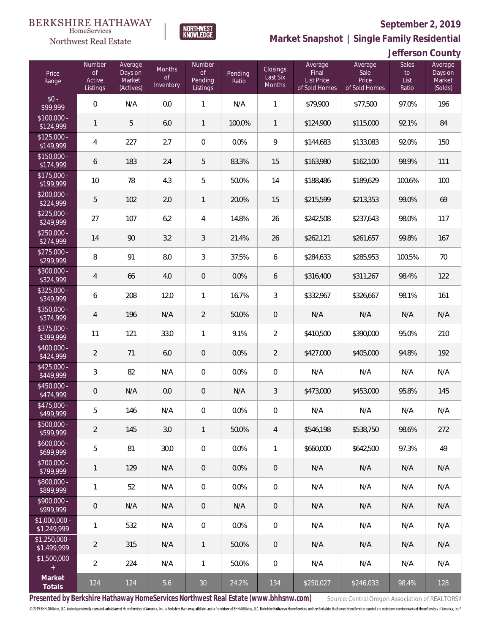

**Market Snapshot | Single Family Residential**

### **Jefferson County**

| Price<br>Range                | Number<br><b>of</b><br>Active<br>Listings | Average<br>Days on<br>Market<br>(Actives) | Months<br><b>of</b><br>Inventory | <b>Number</b><br>of<br>Pending<br>Listings | Pending<br>Ratio | Closings<br>Last Six<br>Months | Average<br>Final<br><b>List Price</b><br>of Sold Homes | Average<br>Sale<br>Price<br>of Sold Homes | <b>Sales</b><br>to<br>List<br>Ratio | Average<br>Days on<br>Market<br>(Solds) |
|-------------------------------|-------------------------------------------|-------------------------------------------|----------------------------------|--------------------------------------------|------------------|--------------------------------|--------------------------------------------------------|-------------------------------------------|-------------------------------------|-----------------------------------------|
| $$0 -$<br>\$99,999            | $\overline{0}$                            | N/A                                       | 0.0                              | $\mathbf{1}$                               | N/A              | $\mathbf{1}$                   | \$79,900                                               | \$77,500                                  | 97.0%                               | 196                                     |
| $$100,000 -$<br>\$124,999     | $\mathbf{1}$                              | 5                                         | 6.0                              | $\mathbf{1}$                               | 100.0%           | $\mathbf{1}$                   | \$124,900                                              | \$115,000                                 | 92.1%                               | 84                                      |
| $$125,000 -$<br>\$149,999     | $\overline{4}$                            | 227                                       | 2.7                              | $\mathbf{0}$                               | 0.0%             | 9                              | \$144,683                                              | \$133,083                                 | 92.0%                               | 150                                     |
| $$150,000 -$<br>\$174,999     | 6                                         | 183                                       | 2.4                              | 5                                          | 83.3%            | 15                             | \$163,980                                              | \$162,100                                 | 98.9%                               | 111                                     |
| $$175,000 -$<br>\$199,999     | 10                                        | 78                                        | 4.3                              | 5                                          | 50.0%            | 14                             | \$188,486                                              | \$189,629                                 | 100.6%                              | 100                                     |
| $$200,000 -$<br>\$224,999     | 5                                         | 102                                       | 2.0                              | $\mathbf{1}$                               | 20.0%            | 15                             | \$215,599                                              | \$213,353                                 | 99.0%                               | 69                                      |
| $$225,000 -$<br>\$249,999     | 27                                        | 107                                       | 6.2                              | 4                                          | 14.8%            | 26                             | \$242,508                                              | \$237,643                                 | 98.0%                               | 117                                     |
| $$250,000 -$<br>\$274,999     | 14                                        | 90                                        | 3.2                              | $\mathfrak{Z}$                             | 21.4%            | 26                             | \$262,121                                              | \$261,657                                 | 99.8%                               | 167                                     |
| $$275,000 -$<br>\$299,999     | 8                                         | 91                                        | 8.0                              | $\mathfrak{Z}$                             | 37.5%            | 6                              | \$284,633                                              | \$285,953                                 | 100.5%                              | 70                                      |
| $$300,000 -$<br>\$324,999     | $\overline{4}$                            | 66                                        | 4.0                              | $\overline{0}$                             | 0.0%             | 6                              | \$316,400                                              | \$311,267                                 | 98.4%                               | 122                                     |
| $$325,000 -$<br>\$349,999     | 6                                         | 208                                       | 12.0                             | $\mathbf{1}$                               | 16.7%            | 3                              | \$332,967                                              | \$326,667                                 | 98.1%                               | 161                                     |
| $$350,000 -$<br>\$374,999     | $\overline{4}$                            | 196                                       | N/A                              | $\overline{2}$                             | 50.0%            | $\mathbf 0$                    | N/A                                                    | N/A                                       | N/A                                 | N/A                                     |
| \$375,000 -<br>\$399,999      | 11                                        | 121                                       | 33.0                             | $\mathbf{1}$                               | 9.1%             | $\overline{2}$                 | \$410,500                                              | \$390,000                                 | 95.0%                               | 210                                     |
| \$400,000 -<br>\$424,999      | $\overline{2}$                            | 71                                        | 6.0                              | $\overline{0}$                             | 0.0%             | $\overline{2}$                 | \$427,000                                              | \$405,000                                 | 94.8%                               | 192                                     |
| $$425,000 -$<br>\$449,999     | $\mathfrak{Z}$                            | 82                                        | N/A                              | $\overline{0}$                             | 0.0%             | $\overline{0}$                 | N/A                                                    | N/A                                       | N/A                                 | N/A                                     |
| \$450,000 -<br>\$474,999      | $\mathbf 0$                               | N/A                                       | 0.0                              | $\overline{0}$                             | N/A              | 3                              | \$473,000                                              | \$453,000                                 | 95.8%                               | 145                                     |
| \$475,000 -<br>\$499,999      | 5                                         | 146                                       | N/A                              | $\,0\,$                                    | 0.0%             | $\mathbf 0$                    | N/A                                                    | N/A                                       | N/A                                 | N/A                                     |
| \$500,000 -<br>\$599,999      | $\overline{2}$                            | 145                                       | 3.0                              | $\mathbf{1}$                               | 50.0%            | $\overline{4}$                 | \$546,198                                              | \$538,750                                 | 98.6%                               | 272                                     |
| $$600,000 -$<br>\$699,999     | 5                                         | 81                                        | 30.0                             | $\mathbf 0$                                | 0.0%             | $\mathbf{1}$                   | \$660,000                                              | \$642,500                                 | 97.3%                               | 49                                      |
| \$700,000 -<br>\$799,999      | $\mathbf{1}$                              | 129                                       | N/A                              | $\theta$                                   | 0.0%             | $\mathbf 0$                    | N/A                                                    | N/A                                       | N/A                                 | N/A                                     |
| \$800,000 -<br>\$899,999      | $\mathbf{1}$                              | 52                                        | N/A                              | 0                                          | 0.0%             | $\mathbf 0$                    | N/A                                                    | N/A                                       | N/A                                 | N/A                                     |
| \$900,000 -<br>\$999,999      | $\mathsf{O}\xspace$                       | N/A                                       | N/A                              | $\theta$                                   | N/A              | $\mathbf 0$                    | N/A                                                    | N/A                                       | N/A                                 | N/A                                     |
| $$1,000,000 -$<br>\$1,249,999 | $\mathbf{1}$                              | 532                                       | N/A                              | 0                                          | 0.0%             | $\mathbf 0$                    | N/A                                                    | N/A                                       | N/A                                 | N/A                                     |
| $$1,250,000 -$<br>\$1,499,999 | $\overline{2}$                            | 315                                       | N/A                              | $\mathbf{1}$                               | 50.0%            | $\mathbf{0}$                   | N/A                                                    | N/A                                       | N/A                                 | N/A                                     |
| \$1,500,000<br>$\pm$          | $\overline{2}$                            | 224                                       | N/A                              | 1                                          | 50.0%            | $\mathbf 0$                    | N/A                                                    | N/A                                       | N/A                                 | N/A                                     |
| Market<br>Totals              | 124                                       | 124                                       | 5.6                              | 30                                         | 24.2%            | 134                            | \$250,027                                              | \$246,033                                 | 98.4%                               | 128                                     |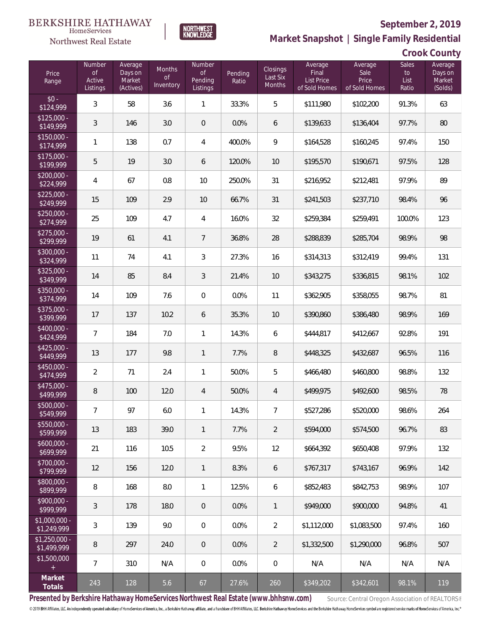

**NORTHWEST**<br>KNOWLEDGE

Northwest Real Estate

**Market Snapshot | Single Family Residential**

| Crook County |  |
|--------------|--|
|              |  |

| Price<br>Range                | Number<br>$\mathsf{of}$<br>Active<br>Listings | Average<br>Days on<br>Market<br>(Actives) | Months<br><b>of</b><br>Inventory | Number<br>$\mathsf{of}$<br>Pending<br>Listings | Pending<br>Ratio | Closings<br>Last Six<br>Months | Average<br>Final<br>List Price<br>of Sold Homes | Average<br>Sale<br>Price<br>of Sold Homes | <b>Sales</b><br>$\mathsf{to}$<br>List<br>Ratio | Average<br>Days on<br>Market<br>(Solds) |
|-------------------------------|-----------------------------------------------|-------------------------------------------|----------------------------------|------------------------------------------------|------------------|--------------------------------|-------------------------------------------------|-------------------------------------------|------------------------------------------------|-----------------------------------------|
| $$0 -$<br>\$124,999           | 3                                             | 58                                        | 3.6                              | 1                                              | 33.3%            | 5                              | \$111,980                                       | \$102,200                                 | 91.3%                                          | 63                                      |
| $$125,000 -$<br>\$149,999     | 3                                             | 146                                       | 3.0                              | $\mathbf 0$                                    | 0.0%             | 6                              | \$139,633                                       | \$136,404                                 | 97.7%                                          | 80                                      |
| $$150,000 -$<br>\$174,999     | $\mathbf{1}$                                  | 138                                       | 0.7                              | 4                                              | 400.0%           | 9                              | \$164,528                                       | \$160,245                                 | 97.4%                                          | 150                                     |
| $$175,000 -$<br>\$199,999     | 5                                             | 19                                        | 3.0                              | 6                                              | 120.0%           | 10                             | \$195,570                                       | \$190,671                                 | 97.5%                                          | 128                                     |
| $$200,000 -$<br>\$224,999     | $\sqrt{4}$                                    | 67                                        | 0.8                              | 10                                             | 250.0%           | 31                             | \$216,952                                       | \$212,481                                 | 97.9%                                          | 89                                      |
| $$225,000 -$<br>\$249,999     | 15                                            | 109                                       | 2.9                              | 10                                             | 66.7%            | 31                             | \$241,503                                       | \$237,710                                 | 98.4%                                          | 96                                      |
| $$250,000 -$<br>\$274,999     | 25                                            | 109                                       | 4.7                              | 4                                              | 16.0%            | 32                             | \$259,384                                       | \$259,491                                 | 100.0%                                         | 123                                     |
| $$275,000 -$<br>\$299,999     | 19                                            | 61                                        | 4.1                              | $\overline{7}$                                 | 36.8%            | 28                             | \$288,839                                       | \$285,704                                 | 98.9%                                          | 98                                      |
| \$300,000 -<br>\$324,999      | 11                                            | 74                                        | 4.1                              | 3                                              | 27.3%            | 16                             | \$314,313                                       | \$312,419                                 | 99.4%                                          | 131                                     |
| $$325,000 -$<br>\$349,999     | 14                                            | 85                                        | 8.4                              | $\sqrt{3}$                                     | 21.4%            | 10                             | \$343,275                                       | \$336,815                                 | 98.1%                                          | 102                                     |
| \$350,000 -<br>\$374,999      | 14                                            | 109                                       | 7.6                              | $\mathbf 0$                                    | 0.0%             | 11                             | \$362,905                                       | \$358,055                                 | 98.7%                                          | 81                                      |
| \$375,000 -<br>\$399,999      | 17                                            | 137                                       | 10.2                             | 6                                              | 35.3%            | 10                             | \$390,860                                       | \$386,480                                 | 98.9%                                          | 169                                     |
| \$400,000 -<br>\$424,999      | $\overline{7}$                                | 184                                       | 7.0                              | 1                                              | 14.3%            | 6                              | \$444,817                                       | \$412,667                                 | 92.8%                                          | 191                                     |
| $$425,000 -$<br>\$449,999     | 13                                            | 177                                       | 9.8                              | $\mathbf{1}$                                   | 7.7%             | 8                              | \$448,325                                       | \$432,687                                 | 96.5%                                          | 116                                     |
| \$450,000 -<br>\$474,999      | $\overline{2}$                                | 71                                        | 2.4                              | 1                                              | 50.0%            | 5                              | \$466,480                                       | \$460,800                                 | 98.8%                                          | 132                                     |
| $$475,000 -$<br>\$499,999     | $\, 8$                                        | 100                                       | 12.0                             | $\overline{4}$                                 | 50.0%            | $\overline{4}$                 | \$499,975                                       | \$492,600                                 | 98.5%                                          | 78                                      |
| $$500,000 -$<br>\$549,999     | $\overline{7}$                                | 97                                        | $6.0\,$                          | 1                                              | 14.3%            | $\overline{7}$                 | \$527,286                                       | \$520,000                                 | 98.6%                                          | 264                                     |
| $$550,000 -$<br>\$599,999     | 13                                            | 183                                       | 39.0                             | 1                                              | 7.7%             | $\overline{2}$                 | \$594,000                                       | \$574,500                                 | 96.7%                                          | 83                                      |
| $$600,000 -$<br>\$699,999     | 21                                            | 116                                       | 10.5                             | 2                                              | 9.5%             | 12                             | \$664,392                                       | \$650,408                                 | 97.9%                                          | 132                                     |
| $$700,000 -$<br>\$799,999     | 12                                            | 156                                       | 12.0                             | 1                                              | 8.3%             | 6                              | \$767,317                                       | \$743,167                                 | 96.9%                                          | 142                                     |
| $$800,000 -$<br>\$899,999     | 8                                             | 168                                       | 8.0                              | 1                                              | 12.5%            | 6                              | \$852,483                                       | \$842,753                                 | 98.9%                                          | 107                                     |
| $$900,000 -$<br>\$999,999     | 3                                             | 178                                       | 18.0                             | 0                                              | 0.0%             | 1                              | \$949,000                                       | \$900,000                                 | 94.8%                                          | 41                                      |
| $$1,000,000 -$<br>\$1,249,999 | 3                                             | 139                                       | 9.0                              | $\mathbf 0$                                    | 0.0%             | 2                              | \$1,112,000                                     | \$1,083,500                               | 97.4%                                          | 160                                     |
| $$1,250,000 -$<br>\$1,499,999 | 8                                             | 297                                       | 24.0                             | 0                                              | 0.0%             | $\overline{2}$                 | \$1,332,500                                     | \$1,290,000                               | 96.8%                                          | 507                                     |
| \$1,500,000<br>$^{+}$         | $\overline{7}$                                | 310                                       | N/A                              | $\mathbf 0$                                    | 0.0%             | $\mathbf 0$                    | N/A                                             | N/A                                       | N/A                                            | N/A                                     |
| Market<br>Totals              | 243                                           | 128                                       | 5.6                              | 67                                             | 27.6%            | 260                            | \$349,202                                       | \$342,601                                 | 98.1%                                          | 119                                     |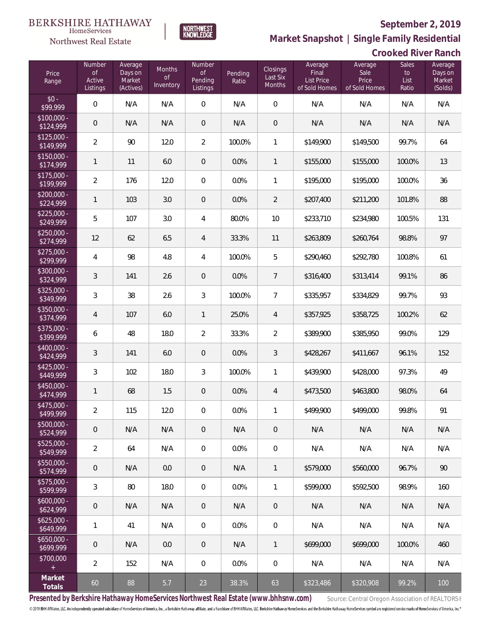

**Market Snapshot | Single Family Residential**

# **BERKSHIRE HATHAWAY** Northwest Real Estate

 $\label{lem:sevices} \textsc{Home} \textsc{Service} \textsc{s}$ 

**Crooked River Ranch**

| Price<br>Range                                | Number<br><b>of</b><br>Active<br>Listings | Average<br>Days on<br>Market<br>(Actives) | Months<br><b>of</b><br>Inventory | Number<br>$\mathop{\rm of}$<br>Pending<br>Listings | Pending<br>Ratio | Closings<br>Last Six<br><b>Months</b> | Average<br>Final<br><b>List Price</b><br>of Sold Homes | Average<br>Sale<br>Price<br>of Sold Homes | <b>Sales</b><br>to<br>List<br>Ratio | Average<br>Days on<br>Market<br>(Solds) |
|-----------------------------------------------|-------------------------------------------|-------------------------------------------|----------------------------------|----------------------------------------------------|------------------|---------------------------------------|--------------------------------------------------------|-------------------------------------------|-------------------------------------|-----------------------------------------|
| $$0 -$<br>\$99,999                            | $\mathbf 0$                               | N/A                                       | N/A                              | $\boldsymbol{0}$                                   | N/A              | $\overline{0}$                        | N/A                                                    | N/A                                       | N/A                                 | N/A                                     |
| $$100,000 -$<br>\$124,999                     | $\theta$                                  | N/A                                       | N/A                              | $\overline{0}$                                     | N/A              | $\overline{0}$                        | N/A                                                    | N/A                                       | N/A                                 | N/A                                     |
| $$125,000 -$<br>\$149,999                     | $\overline{2}$                            | 90                                        | 12.0                             | $\overline{2}$                                     | 100.0%           | 1                                     | \$149,900                                              | \$149,500                                 | 99.7%                               | 64                                      |
| $$150,000 -$<br>\$174,999                     | $\mathbf{1}$                              | 11                                        | 6.0                              | $\overline{0}$                                     | 0.0%             | $\mathbf{1}$                          | \$155,000                                              | \$155,000                                 | 100.0%                              | 13                                      |
| $$175,000 -$<br>\$199,999                     | $\overline{2}$                            | 176                                       | 12.0                             | 0                                                  | 0.0%             | 1                                     | \$195,000                                              | \$195,000                                 | 100.0%                              | 36                                      |
| $$200,000 -$<br>\$224,999                     | 1                                         | 103                                       | 3.0                              | $\overline{0}$                                     | 0.0%             | 2                                     | \$207,400                                              | \$211,200                                 | 101.8%                              | 88                                      |
| $$225,000 -$<br>\$249,999                     | 5                                         | 107                                       | 3.0                              | 4                                                  | 80.0%            | 10                                    | \$233,710                                              | \$234,980                                 | 100.5%                              | 131                                     |
| $$250,000 -$<br>\$274,999                     | 12                                        | 62                                        | 6.5                              | 4                                                  | 33.3%            | 11                                    | \$263,809                                              | \$260,764                                 | 98.8%                               | 97                                      |
| $$275,000 -$<br>\$299,999                     | $\overline{4}$                            | 98                                        | 4.8                              | 4                                                  | 100.0%           | 5                                     | \$290,460                                              | \$292,780                                 | 100.8%                              | 61                                      |
| $$300,000 -$<br>\$324,999                     | $\mathfrak{Z}$                            | 141                                       | 2.6                              | $\overline{0}$                                     | 0.0%             | $\overline{7}$                        | \$316,400                                              | \$313,414                                 | 99.1%                               | 86                                      |
| $$325,000 -$<br>\$349,999                     | $\mathfrak{Z}$                            | 38                                        | 2.6                              | $\mathfrak{Z}$                                     | 100.0%           | $\overline{7}$                        | \$335,957                                              | \$334,829                                 | 99.7%                               | 93                                      |
| \$350,000 -<br>\$374,999                      | $\overline{4}$                            | 107                                       | 6.0                              | $\mathbf{1}$                                       | 25.0%            | 4                                     | \$357,925                                              | \$358,725                                 | 100.2%                              | 62                                      |
| \$375,000 -<br>\$399,999                      | 6                                         | 48                                        | 18.0                             | $\overline{2}$                                     | 33.3%            | $\overline{2}$                        | \$389,900                                              | \$385,950                                 | 99.0%                               | 129                                     |
| \$400,000 -<br>\$424,999                      | $\mathfrak{Z}$                            | 141                                       | 6.0                              | $\theta$                                           | 0.0%             | 3                                     | \$428,267                                              | \$411,667                                 | 96.1%                               | 152                                     |
| $$425,000 -$<br>\$449,999                     | $\mathfrak{Z}$                            | 102                                       | 18.0                             | $\mathfrak{Z}$                                     | 100.0%           | 1                                     | \$439,900                                              | \$428,000                                 | 97.3%                               | 49                                      |
| $$450,000 -$<br>\$474,999                     | $\mathbf{1}$                              | 68                                        | 1.5                              | $\theta$                                           | 0.0%             | 4                                     | \$473,500                                              | \$463,800                                 | 98.0%                               | 64                                      |
| $$475,000 -$<br>\$499,999                     | $\overline{2}$                            | 115                                       | 12.0                             | $\mathbf 0$                                        | 0.0%             | 1                                     | \$499,900                                              | \$499,000                                 | 99.8%                               | 91                                      |
| \$500,000 -<br>\$524,999                      | $\mathbf 0$                               | N/A                                       | N/A                              | $\theta$                                           | N/A              | $\overline{0}$                        | N/A                                                    | N/A                                       | N/A                                 | N/A                                     |
| \$525,000 -<br>\$549,999                      | $\overline{2}$                            | 64                                        | N/A                              | $\overline{0}$                                     | 0.0%             | $\mathbf 0$                           | N/A                                                    | N/A                                       | N/A                                 | N/A                                     |
| $$550,000 -$<br>\$574,999                     | $\theta$                                  | N/A                                       | 0.0                              | $\theta$                                           | N/A              | $\mathbf{1}$                          | \$579,000                                              | \$560,000                                 | 96.7%                               | 90                                      |
| $$575,000 -$<br>\$599,999                     | 3                                         | 80                                        | 18.0                             | 0                                                  | 0.0%             | $\mathbf{1}$                          | \$599,000                                              | \$592,500                                 | 98.9%                               | 160                                     |
| $$600,000 -$<br>\$624,999                     | $\theta$                                  | N/A                                       | N/A                              | $\theta$                                           | N/A              | $\mathbf{0}$                          | N/A                                                    | N/A                                       | N/A                                 | N/A                                     |
| $$625,000 -$<br>\$649,999                     | $\mathbf{1}$                              | 41                                        | N/A                              | 0                                                  | 0.0%             | $\mathbf 0$                           | N/A                                                    | N/A                                       | N/A                                 | N/A                                     |
| $$650,000 -$<br>\$699,999                     | $\theta$                                  | N/A                                       | 0.0                              | $\theta$                                           | N/A              | $\mathbf{1}$                          | \$699,000                                              | \$699,000                                 | 100.0%                              | 460                                     |
| \$700,000<br>$\begin{array}{c} + \end{array}$ | $\overline{2}$                            | 152                                       | N/A                              | 0                                                  | 0.0%             | $\mathbf 0$                           | N/A                                                    | N/A                                       | N/A                                 | N/A                                     |
| Market<br>Totals                              | 60                                        | 88                                        | 5.7                              | 23                                                 | 38.3%            | 63                                    | \$323,486                                              | \$320,908                                 | 99.2%                               | 100                                     |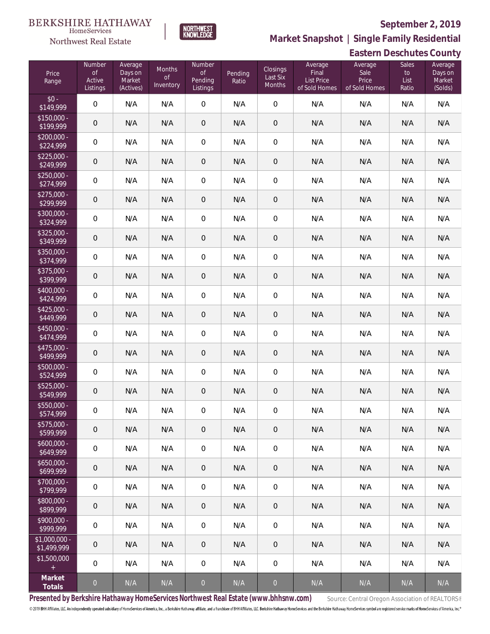# **BERKSHIRE HATHAWAY**

### $\label{lem:sevices} \textsc{Home} \textsc{Service} \textsc{s}$ Northwest Real Estate

### **September 2, 2019**



**Market Snapshot | Single Family Residential**

|                               | <b>Eastern Deschutes County</b>               |                                           |                                  |                                                |                  |                                |                                                 |                                           |                              |                                         |
|-------------------------------|-----------------------------------------------|-------------------------------------------|----------------------------------|------------------------------------------------|------------------|--------------------------------|-------------------------------------------------|-------------------------------------------|------------------------------|-----------------------------------------|
| Price<br>Range                | Number<br>$\mathsf{of}$<br>Active<br>Listings | Average<br>Days on<br>Market<br>(Actives) | Months<br><b>of</b><br>Inventory | Number<br>$\mathsf{of}$<br>Pending<br>Listings | Pending<br>Ratio | Closings<br>Last Six<br>Months | Average<br>Final<br>List Price<br>of Sold Homes | Average<br>Sale<br>Price<br>of Sold Homes | Sales<br>to<br>List<br>Ratio | Average<br>Days on<br>Market<br>(Solds) |
| $$0 -$<br>\$149,999           | $\mathbf 0$                                   | N/A                                       | N/A                              | $\mathbf 0$                                    | N/A              | $\mathbf 0$                    | N/A                                             | N/A                                       | N/A                          | N/A                                     |
| $$150,000 -$<br>\$199,999     | $\mathbf 0$                                   | N/A                                       | N/A                              | $\mathbf 0$                                    | N/A              | $\mathbf 0$                    | N/A                                             | N/A                                       | N/A                          | N/A                                     |
| $$200,000 -$<br>\$224,999     | $\mathbf 0$                                   | N/A                                       | N/A                              | $\boldsymbol{0}$                               | N/A              | $\mathbf 0$                    | N/A                                             | N/A                                       | N/A                          | N/A                                     |
| $$225,000 -$<br>\$249,999     | $\mathbf 0$                                   | N/A                                       | N/A                              | $\mathbf 0$                                    | N/A              | $\mathbf 0$                    | N/A                                             | N/A                                       | N/A                          | N/A                                     |
| $$250,000 -$<br>\$274,999     | $\mathbf 0$                                   | N/A                                       | N/A                              | $\boldsymbol{0}$                               | N/A              | $\mathbf 0$                    | N/A                                             | N/A                                       | N/A                          | N/A                                     |
| \$275,000 -<br>\$299,999      | $\mathbf 0$                                   | N/A                                       | N/A                              | $\mathbf 0$                                    | N/A              | $\mathbf 0$                    | N/A                                             | N/A                                       | N/A                          | N/A                                     |
| \$300,000 -<br>\$324,999      | $\mathbf 0$                                   | N/A                                       | N/A                              | $\mathbf 0$                                    | N/A              | $\mathbf 0$                    | N/A                                             | N/A                                       | N/A                          | N/A                                     |
| $$325,000 -$<br>\$349,999     | $\mathbf 0$                                   | N/A                                       | N/A                              | $\mathbf 0$                                    | N/A              | $\mathbf 0$                    | N/A                                             | N/A                                       | N/A                          | N/A                                     |
| \$350,000 -<br>\$374,999      | $\mathbf 0$                                   | N/A                                       | N/A                              | $\mathbf 0$                                    | N/A              | $\mathbf 0$                    | N/A                                             | N/A                                       | N/A                          | N/A                                     |
| $$375,000 -$<br>\$399,999     | $\mathbf 0$                                   | N/A                                       | N/A                              | $\mathbf 0$                                    | N/A              | $\mathbf 0$                    | N/A                                             | N/A                                       | N/A                          | N/A                                     |
| \$400,000 -<br>\$424,999      | $\mathbf 0$                                   | N/A                                       | N/A                              | $\mathbf 0$                                    | N/A              | $\mathbf 0$                    | N/A                                             | N/A                                       | N/A                          | N/A                                     |
| $$425,000 -$<br>\$449,999     | $\mathbf 0$                                   | N/A                                       | N/A                              | $\mathbf 0$                                    | N/A              | $\mathbf 0$                    | N/A                                             | N/A                                       | N/A                          | N/A                                     |
| \$450,000 -<br>\$474,999      | $\mathbf 0$                                   | N/A                                       | N/A                              | $\mathbf 0$                                    | N/A              | $\mathbf 0$                    | N/A                                             | N/A                                       | N/A                          | N/A                                     |
| \$475,000 -<br>\$499,999      | $\mathbf 0$                                   | N/A                                       | N/A                              | $\mathbf 0$                                    | N/A              | $\mathbf 0$                    | N/A                                             | N/A                                       | N/A                          | N/A                                     |
| \$500,000 -<br>\$524,999      | $\mathbf 0$                                   | N/A                                       | N/A                              | $\mathbf 0$                                    | N/A              | $\mathbf 0$                    | N/A                                             | N/A                                       | N/A                          | N/A                                     |
| \$525,000 -<br>\$549,999      | $\mathbf 0$                                   | N/A                                       | N/A                              | $\boldsymbol{0}$                               | N/A              | $\mathbf 0$                    | N/A                                             | N/A                                       | N/A                          | N/A                                     |
| \$550,000 -<br>\$574,999      | $\mathbf{0}$                                  | N/A                                       | N/A                              | 0                                              | N/A              | $\mathbf 0$                    | N/A                                             | N/A                                       | N/A                          | N/A                                     |
| \$575,000 -<br>\$599,999      | $\mathbf 0$                                   | N/A                                       | N/A                              | 0                                              | N/A              | $\mathsf{O}\xspace$            | N/A                                             | N/A                                       | N/A                          | N/A                                     |
| $$600.000 -$<br>\$649,999     | $\mathbf 0$                                   | N/A                                       | N/A                              | $\overline{0}$                                 | N/A              | 0                              | N/A                                             | N/A                                       | N/A                          | N/A                                     |
| $$650.000 -$<br>\$699,999     | $\mathbf 0$                                   | N/A                                       | N/A                              | 0                                              | N/A              | $\mathbf 0$                    | N/A                                             | N/A                                       | N/A                          | N/A                                     |
| $$700,000 -$<br>\$799,999     | $\mathbf 0$                                   | N/A                                       | N/A                              | $\overline{0}$                                 | N/A              | 0                              | N/A                                             | N/A                                       | N/A                          | N/A                                     |
| $$800,000 -$<br>\$899,999     | $\mathbf 0$                                   | N/A                                       | N/A                              | 0                                              | N/A              | $\mathsf{O}\xspace$            | N/A                                             | N/A                                       | N/A                          | N/A                                     |
| $$900,000 -$<br>\$999,999     | $\mathbf 0$                                   | N/A                                       | N/A                              | $\boldsymbol{0}$                               | N/A              | 0                              | N/A                                             | N/A                                       | N/A                          | N/A                                     |
| $$1,000,000 -$<br>\$1,499,999 | $\mathbf 0$                                   | N/A                                       | N/A                              | 0                                              | N/A              | $\mathsf{O}\xspace$            | N/A                                             | N/A                                       | N/A                          | N/A                                     |
| \$1,500,000<br>$\pm$          | $\overline{0}$                                | N/A                                       | N/A                              | $\boldsymbol{0}$                               | N/A              | $\boldsymbol{0}$               | N/A                                             | N/A                                       | N/A                          | N/A                                     |
| Market<br>Totals              | $\theta$                                      | N/A                                       | N/A                              | $\overline{0}$                                 | N/A              | $\theta$                       | N/A                                             | N/A                                       | N/A                          | N/A                                     |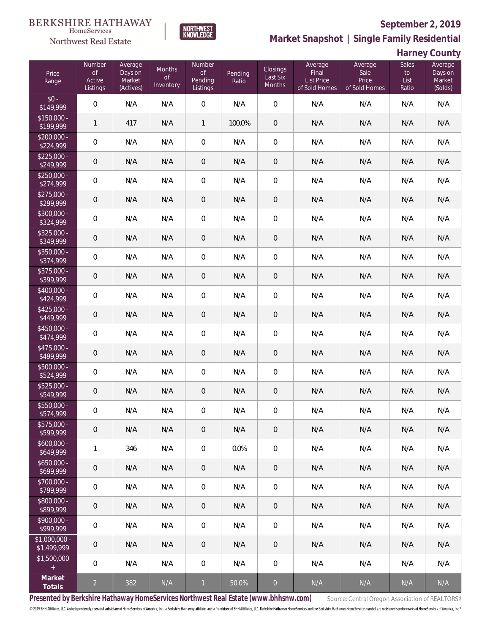

**NORTHWEST**<br>KNOWLEDGE

Northwest Real Estate

**Market Snapshot | Single Family Residential**

**Harney County**

| Price<br>Range                | Number<br><b>of</b><br>Active<br>Listings | Average<br>Days on<br>Market<br>(Actives) | Months<br><b>of</b><br>Inventory | Number<br>$\mathsf{of}$<br>Pending<br>Listings | Pending<br>Ratio | Closings<br>Last Six<br>Months | Average<br>Final<br><b>List Price</b><br>of Sold Homes | Average<br>Sale<br>Price<br>of Sold Homes | <b>Sales</b><br>to<br>List<br>Ratio | Average<br>Days on<br>Market<br>(Solds) |
|-------------------------------|-------------------------------------------|-------------------------------------------|----------------------------------|------------------------------------------------|------------------|--------------------------------|--------------------------------------------------------|-------------------------------------------|-------------------------------------|-----------------------------------------|
| $$0 -$<br>\$149,999           | $\mathbf 0$                               | N/A                                       | N/A                              | 0                                              | N/A              | $\overline{0}$                 | N/A                                                    | N/A                                       | N/A                                 | N/A                                     |
| $$150,000 -$<br>\$199,999     | $\mathbf{1}$                              | 417                                       | N/A                              | $\mathbf{1}$                                   | 100.0%           | $\overline{0}$                 | N/A                                                    | N/A                                       | N/A                                 | N/A                                     |
| $$200,000 -$<br>\$224,999     | $\mathbf 0$                               | N/A                                       | N/A                              | 0                                              | N/A              | $\mathbf 0$                    | N/A                                                    | N/A                                       | N/A                                 | N/A                                     |
| $$225,000 -$<br>\$249,999     | $\mathbf 0$                               | N/A                                       | N/A                              | 0                                              | N/A              | $\theta$                       | N/A                                                    | N/A                                       | N/A                                 | N/A                                     |
| $$250,000 -$<br>\$274,999     | $\mathbf 0$                               | N/A                                       | N/A                              | $\mathbf 0$                                    | N/A              | $\mathbf 0$                    | N/A                                                    | N/A                                       | N/A                                 | N/A                                     |
| $$275,000 -$<br>\$299,999     | $\mathbf 0$                               | N/A                                       | N/A                              | 0                                              | N/A              | $\theta$                       | N/A                                                    | N/A                                       | N/A                                 | N/A                                     |
| \$300,000 -<br>\$324,999      | $\mathsf O$                               | N/A                                       | N/A                              | $\mathbf 0$                                    | N/A              | $\mathbf 0$                    | N/A                                                    | N/A                                       | N/A                                 | N/A                                     |
| $$325,000 -$<br>\$349,999     | $\mathbf 0$                               | N/A                                       | N/A                              | $\mathbf 0$                                    | N/A              | $\theta$                       | N/A                                                    | N/A                                       | N/A                                 | N/A                                     |
| \$350,000 -<br>\$374,999      | $\mathbf 0$                               | N/A                                       | N/A                              | $\mathbf 0$                                    | N/A              | $\mathbf 0$                    | N/A                                                    | N/A                                       | N/A                                 | N/A                                     |
| $$375,000 -$<br>\$399,999     | $\mathbf 0$                               | N/A                                       | N/A                              | $\mathbf 0$                                    | N/A              | $\sqrt{a}$                     | N/A                                                    | N/A                                       | N/A                                 | N/A                                     |
| $$400,000 -$<br>\$424,999     | $\mathbf 0$                               | N/A                                       | N/A                              | $\mathbf 0$                                    | N/A              | $\mathbf 0$                    | N/A                                                    | N/A                                       | N/A                                 | N/A                                     |
| $$425,000 -$<br>\$449,999     | $\mathbf 0$                               | N/A                                       | N/A                              | $\mathbf 0$                                    | N/A              | $\,0\,$                        | N/A                                                    | N/A                                       | N/A                                 | N/A                                     |
| \$450,000 -<br>\$474,999      | $\mathsf O$                               | N/A                                       | N/A                              | $\mathbf 0$                                    | N/A              | $\mathbf 0$                    | N/A                                                    | N/A                                       | N/A                                 | N/A                                     |
| \$475,000 -<br>\$499,999      | $\mathbf 0$                               | N/A                                       | N/A                              | $\mathbf 0$                                    | N/A              | $\,0\,$                        | N/A                                                    | N/A                                       | N/A                                 | N/A                                     |
| \$500,000 -<br>\$524,999      | $\mathbf 0$                               | N/A                                       | N/A                              | $\mathbf 0$                                    | N/A              | $\mathbf 0$                    | N/A                                                    | N/A                                       | N/A                                 | N/A                                     |
| $$525,000 -$<br>\$549,999     | $\mathbf 0$                               | N/A                                       | N/A                              | $\mathbf 0$                                    | N/A              | $\mathbf 0$                    | N/A                                                    | N/A                                       | N/A                                 | N/A                                     |
| \$550,000 -<br>\$574,999      | $\mathbf 0$                               | N/A                                       | N/A                              | $\mathbf 0$                                    | N/A              | $\mathbf 0$                    | N/A                                                    | N/A                                       | N/A                                 | N/A                                     |
| \$575,000 -<br>\$599,999      | $\mathbf 0$                               | N/A                                       | N/A                              | 0                                              | N/A              | $\overline{0}$                 | N/A                                                    | N/A                                       | N/A                                 | N/A                                     |
| $$600,000 -$<br>\$649,999     | $\mathbf{1}$                              | 346                                       | N/A                              | 0                                              | 0.0%             | $\mathbf 0$                    | N/A                                                    | N/A                                       | N/A                                 | N/A                                     |
| $$650,000 -$<br>\$699,999     | $\mathbf 0$                               | N/A                                       | N/A                              | 0                                              | N/A              | $\mathbf{0}$                   | N/A                                                    | N/A                                       | N/A                                 | N/A                                     |
| \$700,000 -<br>\$799,999      | $\mathbf 0$                               | N/A                                       | N/A                              | $\boldsymbol{0}$                               | N/A              | $\mathbf 0$                    | N/A                                                    | N/A                                       | N/A                                 | N/A                                     |
| \$800,000 -<br>\$899,999      | $\mathbf 0$                               | N/A                                       | N/A                              | 0                                              | N/A              | $\mathbf{0}$                   | N/A                                                    | N/A                                       | N/A                                 | N/A                                     |
| \$900,000 -<br>\$999,999      | $\mathbf 0$                               | N/A                                       | N/A                              | 0                                              | N/A              | $\mathbf 0$                    | N/A                                                    | N/A                                       | N/A                                 | N/A                                     |
| $$1,000,000 -$<br>\$1,499,999 | $\mathbf 0$                               | N/A                                       | N/A                              | 0                                              | N/A              | $\overline{0}$                 | N/A                                                    | N/A                                       | N/A                                 | N/A                                     |
| \$1,500,000<br>$\pm$          | $\mathbf 0$                               | N/A                                       | N/A                              | 0                                              | N/A              | $\mathbf 0$                    | N/A                                                    | N/A                                       | N/A                                 | N/A                                     |
| Market<br>Totals              | $\overline{2}$                            | 382                                       | N/A                              | $\mathbf{1}$                                   | 50.0%            | $\overline{0}$                 | N/A                                                    | N/A                                       | N/A                                 | N/A                                     |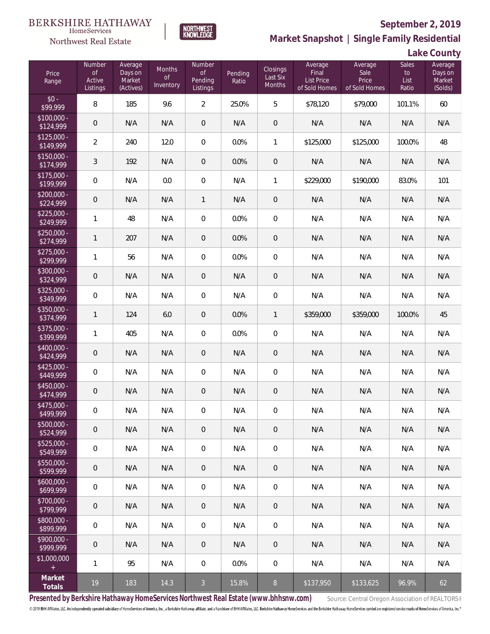

**NORTHWEST**<br>KNOWLEDGE

**Market Snapshot | Single Family Residential**

### **Lake County**

| Price<br>Range                                  | Number<br><b>of</b><br>Active<br>Listings | Average<br>Days on<br>Market<br>(Actives) | Months<br>$\circ f$<br>Inventory | Number<br>$\mathsf{of}$<br>Pending<br>Listings | Pending<br>Ratio | <b>Closings</b><br>Last Six<br><b>Months</b> | Average<br>Final<br>List Price<br>of Sold Homes | Average<br>Sale<br>Price<br>of Sold Homes | Sales<br>to<br>List<br>Ratio | Average<br>Days on<br>Market<br>(Solds) |
|-------------------------------------------------|-------------------------------------------|-------------------------------------------|----------------------------------|------------------------------------------------|------------------|----------------------------------------------|-------------------------------------------------|-------------------------------------------|------------------------------|-----------------------------------------|
| $$0 -$<br>\$99,999                              | 8                                         | 185                                       | 9.6                              | $\overline{a}$                                 | 25.0%            | 5                                            | \$78,120                                        | \$79,000                                  | 101.1%                       | 60                                      |
| $$100,000 -$<br>\$124,999                       | $\mathbf 0$                               | N/A                                       | N/A                              | $\theta$                                       | N/A              | $\overline{0}$                               | N/A                                             | N/A                                       | N/A                          | N/A                                     |
| $$125,000 -$<br>\$149,999                       | $\overline{2}$                            | 240                                       | 12.0                             | 0                                              | 0.0%             | $\mathbf{1}$                                 | \$125,000                                       | \$125,000                                 | 100.0%                       | 48                                      |
| $$150,000 -$<br>\$174,999                       | 3                                         | 192                                       | N/A                              | $\overline{0}$                                 | 0.0%             | $\overline{0}$                               | N/A                                             | N/A                                       | N/A                          | N/A                                     |
| $$175,000 -$<br>\$199,999                       | $\overline{0}$                            | N/A                                       | 0.0                              | $\mathbf 0$                                    | N/A              | 1                                            | \$229,000                                       | \$190,000                                 | 83.0%                        | 101                                     |
| $$200,000 -$<br>\$224,999                       | $\mathbf 0$                               | N/A                                       | N/A                              | $\mathbf{1}$                                   | N/A              | $\overline{0}$                               | N/A                                             | N/A                                       | N/A                          | N/A                                     |
| $$225,000 -$<br>\$249,999                       | 1                                         | 48                                        | N/A                              | 0                                              | 0.0%             | $\mathbf{0}$                                 | N/A                                             | N/A                                       | N/A                          | N/A                                     |
| $$250,000 -$<br>\$274,999                       | $\mathbf{1}$                              | 207                                       | N/A                              | $\theta$                                       | 0.0%             | $\overline{0}$                               | N/A                                             | N/A                                       | N/A                          | N/A                                     |
| $$275,000 -$<br>\$299,999                       | 1                                         | 56                                        | N/A                              | 0                                              | 0.0%             | $\overline{0}$                               | N/A                                             | N/A                                       | N/A                          | N/A                                     |
| $$300,000 -$<br>\$324,999                       | $\mathbf 0$                               | N/A                                       | N/A                              | $\theta$                                       | N/A              | $\overline{0}$                               | N/A                                             | N/A                                       | N/A                          | N/A                                     |
| $$325,000 -$<br>\$349,999                       | $\mathbf 0$                               | N/A                                       | N/A                              | $\mathbf 0$                                    | N/A              | $\mathbf 0$                                  | N/A                                             | N/A                                       | N/A                          | N/A                                     |
| $$350,000 -$<br>\$374,999                       | $\mathbf{1}$                              | 124                                       | 6.0                              | $\theta$                                       | 0.0%             | 1                                            | \$359,000                                       | \$359,000                                 | 100.0%                       | 45                                      |
| $$375,000 -$<br>\$399,999                       | $\mathbf{1}$                              | 405                                       | N/A                              | $\mathbf 0$                                    | 0.0%             | $\mathbf 0$                                  | N/A                                             | N/A                                       | N/A                          | N/A                                     |
| \$400,000 -<br>\$424,999                        | $\mathbf 0$                               | N/A                                       | N/A                              | $\,0\,$                                        | N/A              | $\mathbf 0$                                  | N/A                                             | N/A                                       | N/A                          | N/A                                     |
| $$425,000 -$<br>\$449,999                       | $\mathbf 0$                               | N/A                                       | N/A                              | $\mathbf 0$                                    | N/A              | $\mathbf 0$                                  | N/A                                             | N/A                                       | N/A                          | N/A                                     |
| $$450,000 -$<br>\$474,999                       | $\mathbf 0$                               | N/A                                       | N/A                              | $\theta$                                       | N/A              | $\mathbf 0$                                  | N/A                                             | N/A                                       | N/A                          | N/A                                     |
| \$475,000 -<br>\$499,999                        | $\mathbf 0$                               | N/A                                       | N/A                              | $\mathbf 0$                                    | N/A              | $\mathbf 0$                                  | N/A                                             | N/A                                       | N/A                          | N/A                                     |
| \$500,000 -<br>\$524,999                        | $\mathbf{0}$                              | N/A                                       | N/A                              | $\theta$                                       | N/A              | $\overline{0}$                               | N/A                                             | N/A                                       | N/A                          | N/A                                     |
| $$525,000 -$<br>\$549,999                       | $\mathbf 0$                               | N/A                                       | N/A                              | 0                                              | N/A              | $\mathbf 0$                                  | N/A                                             | N/A                                       | N/A                          | N/A                                     |
| $$550,000 -$<br>\$599,999                       | $\theta$                                  | N/A                                       | N/A                              | $\theta$                                       | N/A              | $\overline{0}$                               | N/A                                             | N/A                                       | N/A                          | N/A                                     |
| $$600,000 -$<br>\$699,999                       | $\mathbf 0$                               | N/A                                       | N/A                              | 0                                              | N/A              | $\overline{0}$                               | N/A                                             | N/A                                       | N/A                          | N/A                                     |
| $$700,000 -$<br>\$799,999                       | $\overline{0}$                            | N/A                                       | N/A                              | $\theta$                                       | N/A              | $\overline{0}$                               | N/A                                             | N/A                                       | N/A                          | N/A                                     |
| $$800,000 -$<br>\$899,999                       | $\overline{0}$                            | N/A                                       | N/A                              | 0                                              | N/A              | $\overline{0}$                               | N/A                                             | N/A                                       | N/A                          | N/A                                     |
| $$900,000 -$<br>\$999,999                       | $\overline{0}$                            | N/A                                       | N/A                              | $\overline{0}$                                 | N/A              | $\overline{0}$                               | N/A                                             | N/A                                       | N/A                          | N/A                                     |
| \$1,000,000<br>$\begin{array}{c} + \end{array}$ | $\mathbf{1}$                              | 95                                        | N/A                              | 0                                              | 0.0%             | $\overline{0}$                               | N/A                                             | N/A                                       | N/A                          | N/A                                     |
| Market<br>Totals                                | 19                                        | 183                                       | 14.3                             | $\mathfrak{Z}$                                 | 15.8%            | 8                                            | \$137,950                                       | \$133,625                                 | 96.9%                        | 62                                      |